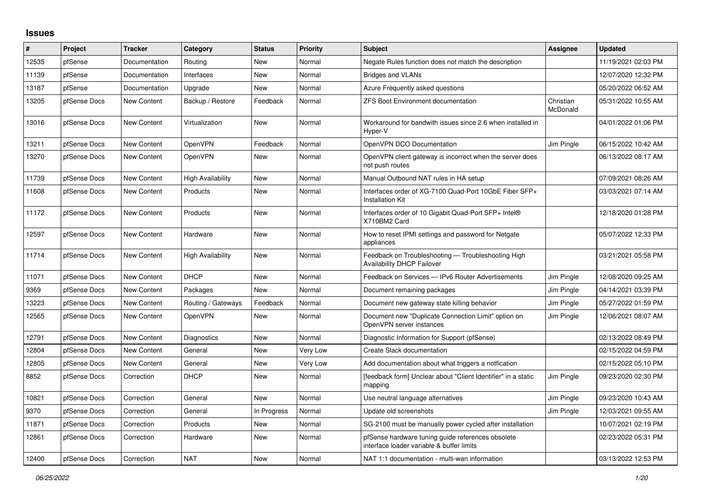## **Issues**

| #     | Project      | <b>Tracker</b> | Category                 | <b>Status</b> | <b>Priority</b> | <b>Subject</b>                                                                                 | Assignee              | <b>Updated</b>      |
|-------|--------------|----------------|--------------------------|---------------|-----------------|------------------------------------------------------------------------------------------------|-----------------------|---------------------|
| 12535 | pfSense      | Documentation  | Routing                  | New           | Normal          | Negate Rules function does not match the description                                           |                       | 11/19/2021 02:03 PM |
| 11139 | pfSense      | Documentation  | Interfaces               | <b>New</b>    | Normal          | <b>Bridges and VLANs</b>                                                                       |                       | 12/07/2020 12:32 PM |
| 13187 | pfSense      | Documentation  | Upgrade                  | New           | Normal          | Azure Frequently asked questions                                                               |                       | 05/20/2022 06:52 AM |
| 13205 | pfSense Docs | New Content    | Backup / Restore         | Feedback      | Normal          | <b>ZFS Boot Environment documentation</b>                                                      | Christian<br>McDonald | 05/31/2022 10:55 AM |
| 13016 | pfSense Docs | New Content    | Virtualization           | New           | Normal          | Workaround for bandwith issues since 2.6 when installed in<br>Hyper-V                          |                       | 04/01/2022 01:06 PM |
| 13211 | pfSense Docs | New Content    | OpenVPN                  | Feedback      | Normal          | OpenVPN DCO Documentation                                                                      | Jim Pingle            | 06/15/2022 10:42 AM |
| 13270 | pfSense Docs | New Content    | <b>OpenVPN</b>           | New           | Normal          | OpenVPN client gateway is incorrect when the server does<br>not push routes                    |                       | 06/13/2022 08:17 AM |
| 11739 | pfSense Docs | New Content    | <b>High Availability</b> | New           | Normal          | Manual Outbound NAT rules in HA setup                                                          |                       | 07/09/2021 08:26 AM |
| 11608 | pfSense Docs | New Content    | Products                 | New           | Normal          | Interfaces order of XG-7100 Quad-Port 10GbE Fiber SFP+<br><b>Installation Kit</b>              |                       | 03/03/2021 07:14 AM |
| 11172 | pfSense Docs | New Content    | Products                 | New           | Normal          | Interfaces order of 10 Gigabit Quad-Port SFP+ Intel®<br>X710BM2 Card                           |                       | 12/18/2020 01:28 PM |
| 12597 | pfSense Docs | New Content    | Hardware                 | <b>New</b>    | Normal          | How to reset IPMI settings and password for Netgate<br>appliances                              |                       | 05/07/2022 12:33 PM |
| 11714 | pfSense Docs | New Content    | <b>High Availability</b> | <b>New</b>    | Normal          | Feedback on Troubleshooting - Troubleshooting High<br>Availability DHCP Failover               |                       | 03/21/2021 05:58 PM |
| 11071 | pfSense Docs | New Content    | <b>DHCP</b>              | New           | Normal          | Feedback on Services - IPv6 Router Advertisements                                              | Jim Pingle            | 12/08/2020 09:25 AM |
| 9369  | pfSense Docs | New Content    | Packages                 | New           | Normal          | Document remaining packages                                                                    | Jim Pingle            | 04/14/2021 03:39 PM |
| 13223 | pfSense Docs | New Content    | Routing / Gateways       | Feedback      | Normal          | Document new gateway state killing behavior                                                    | Jim Pingle            | 05/27/2022 01:59 PM |
| 12565 | pfSense Docs | New Content    | OpenVPN                  | New           | Normal          | Document new "Duplicate Connection Limit" option on<br>OpenVPN server instances                | Jim Pingle            | 12/06/2021 08:07 AM |
| 12791 | pfSense Docs | New Content    | <b>Diagnostics</b>       | New           | Normal          | Diagnostic Information for Support (pfSense)                                                   |                       | 02/13/2022 08:49 PM |
| 12804 | pfSense Docs | New Content    | General                  | New           | Very Low        | Create Slack documentation                                                                     |                       | 02/15/2022 04:59 PM |
| 12805 | pfSense Docs | New Content    | General                  | New           | Very Low        | Add documentation about what triggers a notfication                                            |                       | 02/15/2022 05:10 PM |
| 8852  | pfSense Docs | Correction     | <b>DHCP</b>              | New           | Normal          | [feedback form] Unclear about "Client Identifier" in a static<br>mapping                       | Jim Pingle            | 09/23/2020 02:30 PM |
| 10821 | pfSense Docs | Correction     | General                  | New           | Normal          | Use neutral language alternatives                                                              | Jim Pingle            | 09/23/2020 10:43 AM |
| 9370  | pfSense Docs | Correction     | General                  | In Progress   | Normal          | Update old screenshots                                                                         | Jim Pingle            | 12/03/2021 09:55 AM |
| 11871 | pfSense Docs | Correction     | Products                 | <b>New</b>    | Normal          | SG-2100 must be manually power cycled after installation                                       |                       | 10/07/2021 02:19 PM |
| 12861 | pfSense Docs | Correction     | Hardware                 | New           | Normal          | pfSense hardware tuning guide references obsolete<br>interface loader variable & buffer limits |                       | 02/23/2022 05:31 PM |
| 12400 | pfSense Docs | Correction     | <b>NAT</b>               | New           | Normal          | NAT 1:1 documentation - multi-wan information                                                  |                       | 03/13/2022 12:53 PM |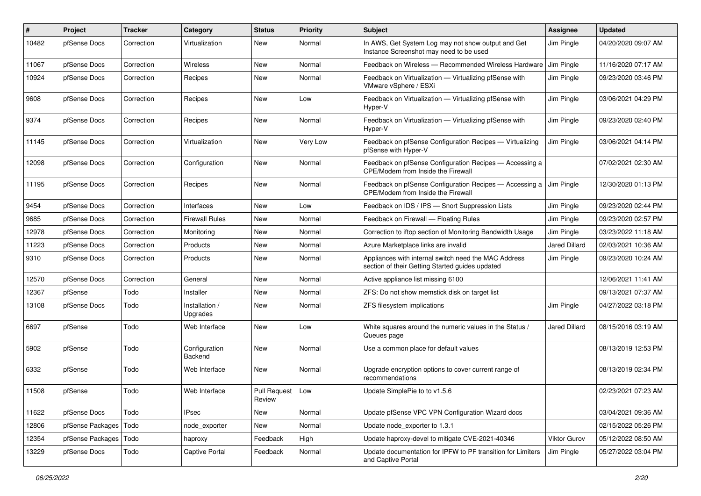| #     | Project          | <b>Tracker</b> | Category                   | <b>Status</b>                 | <b>Priority</b> | <b>Subject</b>                                                                                          | <b>Assignee</b>      | <b>Updated</b>      |
|-------|------------------|----------------|----------------------------|-------------------------------|-----------------|---------------------------------------------------------------------------------------------------------|----------------------|---------------------|
| 10482 | pfSense Docs     | Correction     | Virtualization             | New                           | Normal          | In AWS, Get System Log may not show output and Get<br>Instance Screenshot may need to be used           | Jim Pingle           | 04/20/2020 09:07 AM |
| 11067 | pfSense Docs     | Correction     | Wireless                   | <b>New</b>                    | Normal          | Feedback on Wireless - Recommended Wireless Hardware                                                    | Jim Pingle           | 11/16/2020 07:17 AM |
| 10924 | pfSense Docs     | Correction     | Recipes                    | <b>New</b>                    | Normal          | Feedback on Virtualization - Virtualizing pfSense with<br>VMware vSphere / ESXi                         | Jim Pingle           | 09/23/2020 03:46 PM |
| 9608  | pfSense Docs     | Correction     | Recipes                    | <b>New</b>                    | Low             | Feedback on Virtualization - Virtualizing pfSense with<br>Hyper-V                                       | Jim Pingle           | 03/06/2021 04:29 PM |
| 9374  | pfSense Docs     | Correction     | Recipes                    | New                           | Normal          | Feedback on Virtualization - Virtualizing pfSense with<br>Hyper-V                                       | Jim Pingle           | 09/23/2020 02:40 PM |
| 11145 | pfSense Docs     | Correction     | Virtualization             | <b>New</b>                    | <b>Very Low</b> | Feedback on pfSense Configuration Recipes - Virtualizing<br>pfSense with Hyper-V                        | Jim Pingle           | 03/06/2021 04:14 PM |
| 12098 | pfSense Docs     | Correction     | Configuration              | New                           | Normal          | Feedback on pfSense Configuration Recipes - Accessing a<br>CPE/Modem from Inside the Firewall           |                      | 07/02/2021 02:30 AM |
| 11195 | pfSense Docs     | Correction     | Recipes                    | <b>New</b>                    | Normal          | Feedback on pfSense Configuration Recipes - Accessing a<br>CPE/Modem from Inside the Firewall           | Jim Pingle           | 12/30/2020 01:13 PM |
| 9454  | pfSense Docs     | Correction     | Interfaces                 | <b>New</b>                    | Low             | Feedback on IDS / IPS - Snort Suppression Lists                                                         | Jim Pingle           | 09/23/2020 02:44 PM |
| 9685  | pfSense Docs     | Correction     | <b>Firewall Rules</b>      | New                           | Normal          | Feedback on Firewall - Floating Rules                                                                   | Jim Pingle           | 09/23/2020 02:57 PM |
| 12978 | pfSense Docs     | Correction     | Monitoring                 | New                           | Normal          | Correction to iftop section of Monitoring Bandwidth Usage                                               | Jim Pingle           | 03/23/2022 11:18 AM |
| 11223 | pfSense Docs     | Correction     | Products                   | <b>New</b>                    | Normal          | Azure Marketplace links are invalid                                                                     | <b>Jared Dillard</b> | 02/03/2021 10:36 AM |
| 9310  | pfSense Docs     | Correction     | Products                   | New                           | Normal          | Appliances with internal switch need the MAC Address<br>section of their Getting Started guides updated | Jim Pingle           | 09/23/2020 10:24 AM |
| 12570 | pfSense Docs     | Correction     | General                    | New                           | Normal          | Active appliance list missing 6100                                                                      |                      | 12/06/2021 11:41 AM |
| 12367 | pfSense          | Todo           | Installer                  | <b>New</b>                    | Normal          | ZFS: Do not show memstick disk on target list                                                           |                      | 09/13/2021 07:37 AM |
| 13108 | pfSense Docs     | Todo           | Installation /<br>Upgrades | New                           | Normal          | ZFS filesystem implications                                                                             | Jim Pingle           | 04/27/2022 03:18 PM |
| 6697  | pfSense          | Todo           | Web Interface              | <b>New</b>                    | Low             | White squares around the numeric values in the Status /<br>Queues page                                  | <b>Jared Dillard</b> | 08/15/2016 03:19 AM |
| 5902  | pfSense          | Todo           | Configuration<br>Backend   | New                           | Normal          | Use a common place for default values                                                                   |                      | 08/13/2019 12:53 PM |
| 6332  | pfSense          | Todo           | Web Interface              | New                           | Normal          | Upgrade encryption options to cover current range of<br>recommendations                                 |                      | 08/13/2019 02:34 PM |
| 11508 | pfSense          | Todo           | Web Interface              | <b>Pull Request</b><br>Review | Low             | Update SimplePie to to y1.5.6                                                                           |                      | 02/23/2021 07:23 AM |
| 11622 | pfSense Docs     | Todo           | <b>IPsec</b>               | New                           | Normal          | Update pfSense VPC VPN Configuration Wizard docs                                                        |                      | 03/04/2021 09:36 AM |
| 12806 | pfSense Packages | Todo           | node_exporter              | New                           | Normal          | Update node_exporter to 1.3.1                                                                           |                      | 02/15/2022 05:26 PM |
| 12354 | pfSense Packages | Todo           | haproxy                    | Feedback                      | High            | Update haproxy-devel to mitigate CVE-2021-40346                                                         | Viktor Gurov         | 05/12/2022 08:50 AM |
| 13229 | pfSense Docs     | Todo           | Captive Portal             | Feedback                      | Normal          | Update documentation for IPFW to PF transition for Limiters<br>and Captive Portal                       | Jim Pingle           | 05/27/2022 03:04 PM |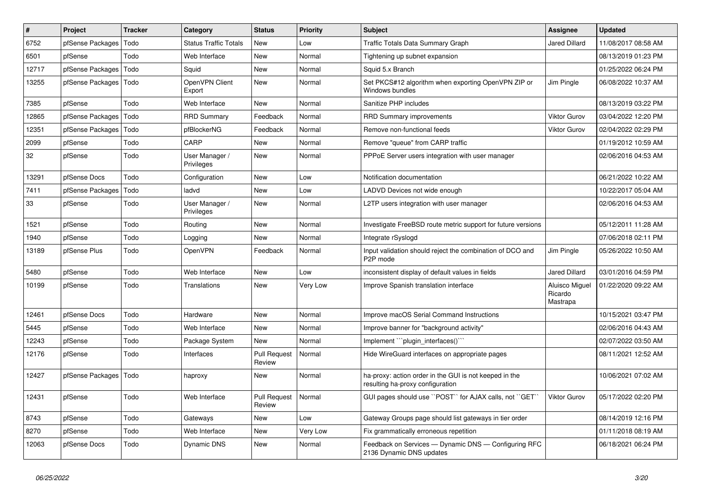| $\vert$ # | Project          | <b>Tracker</b> | Category                     | <b>Status</b>                 | <b>Priority</b> | <b>Subject</b>                                                                             | <b>Assignee</b>                       | <b>Updated</b>      |
|-----------|------------------|----------------|------------------------------|-------------------------------|-----------------|--------------------------------------------------------------------------------------------|---------------------------------------|---------------------|
| 6752      | pfSense Packages | Todo           | <b>Status Traffic Totals</b> | <b>New</b>                    | Low             | Traffic Totals Data Summary Graph                                                          | <b>Jared Dillard</b>                  | 11/08/2017 08:58 AM |
| 6501      | pfSense          | Todo           | Web Interface                | <b>New</b>                    | Normal          | Tightening up subnet expansion                                                             |                                       | 08/13/2019 01:23 PM |
| 12717     | pfSense Packages | Todo           | Squid                        | <b>New</b>                    | Normal          | Squid 5.x Branch                                                                           |                                       | 01/25/2022 06:24 PM |
| 13255     | pfSense Packages | Todo           | OpenVPN Client<br>Export     | <b>New</b>                    | Normal          | Set PKCS#12 algorithm when exporting OpenVPN ZIP or<br>Windows bundles                     | Jim Pingle                            | 06/08/2022 10:37 AM |
| 7385      | pfSense          | Todo           | Web Interface                | New                           | Normal          | Sanitize PHP includes                                                                      |                                       | 08/13/2019 03:22 PM |
| 12865     | pfSense Packages | Todo           | <b>RRD Summary</b>           | Feedback                      | Normal          | <b>RRD Summary improvements</b>                                                            | <b>Viktor Gurov</b>                   | 03/04/2022 12:20 PM |
| 12351     | pfSense Packages | Todo           | pfBlockerNG                  | Feedback                      | Normal          | Remove non-functional feeds                                                                | <b>Viktor Gurov</b>                   | 02/04/2022 02:29 PM |
| 2099      | pfSense          | Todo           | CARP                         | <b>New</b>                    | Normal          | Remove "queue" from CARP traffic                                                           |                                       | 01/19/2012 10:59 AM |
| 32        | pfSense          | Todo           | User Manager /<br>Privileges | <b>New</b>                    | Normal          | PPPoE Server users integration with user manager                                           |                                       | 02/06/2016 04:53 AM |
| 13291     | pfSense Docs     | Todo           | Configuration                | <b>New</b>                    | Low             | Notification documentation                                                                 |                                       | 06/21/2022 10:22 AM |
| 7411      | pfSense Packages | Todo           | ladvd                        | New                           | Low             | LADVD Devices not wide enough                                                              |                                       | 10/22/2017 05:04 AM |
| 33        | pfSense          | Todo           | User Manager /<br>Privileges | New                           | Normal          | L2TP users integration with user manager                                                   |                                       | 02/06/2016 04:53 AM |
| 1521      | pfSense          | Todo           | Routing                      | <b>New</b>                    | Normal          | Investigate FreeBSD route metric support for future versions                               |                                       | 05/12/2011 11:28 AM |
| 1940      | pfSense          | Todo           | Logging                      | New                           | Normal          | Integrate rSyslogd                                                                         |                                       | 07/06/2018 02:11 PM |
| 13189     | pfSense Plus     | Todo           | OpenVPN                      | Feedback                      | Normal          | Input validation should reject the combination of DCO and<br>P2P mode                      | Jim Pingle                            | 05/26/2022 10:50 AM |
| 5480      | pfSense          | Todo           | Web Interface                | <b>New</b>                    | Low             | inconsistent display of default values in fields                                           | Jared Dillard                         | 03/01/2016 04:59 PM |
| 10199     | pfSense          | Todo           | Translations                 | New                           | Very Low        | Improve Spanish translation interface                                                      | Aluisco Miguel<br>Ricardo<br>Mastrapa | 01/22/2020 09:22 AM |
| 12461     | pfSense Docs     | Todo           | Hardware                     | <b>New</b>                    | Normal          | Improve macOS Serial Command Instructions                                                  |                                       | 10/15/2021 03:47 PM |
| 5445      | pfSense          | Todo           | Web Interface                | <b>New</b>                    | Normal          | Improve banner for "background activity"                                                   |                                       | 02/06/2016 04:43 AM |
| 12243     | pfSense          | Todo           | Package System               | <b>New</b>                    | Normal          | Implement "plugin interfaces()"                                                            |                                       | 02/07/2022 03:50 AM |
| 12176     | pfSense          | Todo           | Interfaces                   | <b>Pull Request</b><br>Review | Normal          | Hide WireGuard interfaces on appropriate pages                                             |                                       | 08/11/2021 12:52 AM |
| 12427     | pfSense Packages | Todo           | haproxy                      | New                           | Normal          | ha-proxy: action order in the GUI is not keeped in the<br>resulting ha-proxy configuration |                                       | 10/06/2021 07:02 AM |
| 12431     | pfSense          | Todo           | Web Interface                | <b>Pull Request</b><br>Review | Normal          | GUI pages should use "POST" for AJAX calls, not "GET"                                      | Viktor Gurov                          | 05/17/2022 02:20 PM |
| 8743      | pfSense          | Todo           | Gateways                     | <b>New</b>                    | Low             | Gateway Groups page should list gateways in tier order                                     |                                       | 08/14/2019 12:16 PM |
| 8270      | pfSense          | Todo           | Web Interface                | New                           | Very Low        | Fix grammatically erroneous repetition                                                     |                                       | 01/11/2018 08:19 AM |
| 12063     | pfSense Docs     | Todo           | <b>Dynamic DNS</b>           | <b>New</b>                    | Normal          | Feedback on Services - Dynamic DNS - Configuring RFC<br>2136 Dynamic DNS updates           |                                       | 06/18/2021 06:24 PM |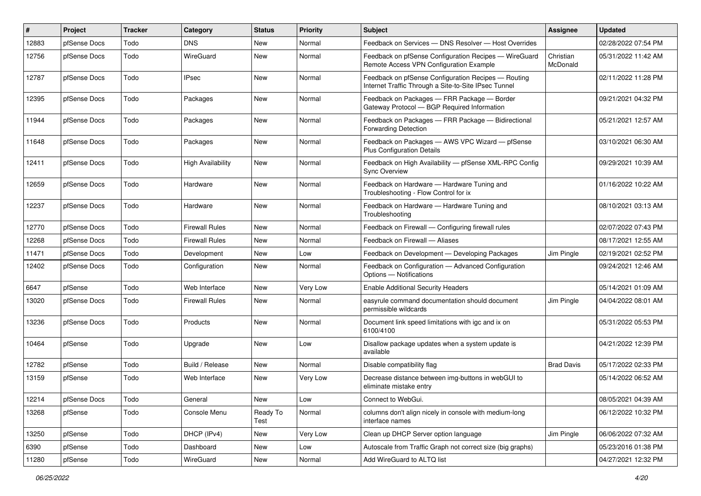| $\vert$ # | Project      | <b>Tracker</b> | Category                 | <b>Status</b>    | Priority | <b>Subject</b>                                                                                              | Assignee              | <b>Updated</b>      |
|-----------|--------------|----------------|--------------------------|------------------|----------|-------------------------------------------------------------------------------------------------------------|-----------------------|---------------------|
| 12883     | pfSense Docs | Todo           | <b>DNS</b>               | New              | Normal   | Feedback on Services - DNS Resolver - Host Overrides                                                        |                       | 02/28/2022 07:54 PM |
| 12756     | pfSense Docs | Todo           | <b>WireGuard</b>         | New              | Normal   | Feedback on pfSense Configuration Recipes - WireGuard<br>Remote Access VPN Configuration Example            | Christian<br>McDonald | 05/31/2022 11:42 AM |
| 12787     | pfSense Docs | Todo           | <b>IPsec</b>             | New              | Normal   | Feedback on pfSense Configuration Recipes - Routing<br>Internet Traffic Through a Site-to-Site IPsec Tunnel |                       | 02/11/2022 11:28 PM |
| 12395     | pfSense Docs | Todo           | Packages                 | New              | Normal   | Feedback on Packages - FRR Package - Border<br>Gateway Protocol - BGP Required Information                  |                       | 09/21/2021 04:32 PM |
| 11944     | pfSense Docs | Todo           | Packages                 | New              | Normal   | Feedback on Packages - FRR Package - Bidirectional<br>Forwarding Detection                                  |                       | 05/21/2021 12:57 AM |
| 11648     | pfSense Docs | Todo           | Packages                 | New              | Normal   | Feedback on Packages - AWS VPC Wizard - pfSense<br><b>Plus Configuration Details</b>                        |                       | 03/10/2021 06:30 AM |
| 12411     | pfSense Docs | Todo           | <b>High Availability</b> | <b>New</b>       | Normal   | Feedback on High Availability - pfSense XML-RPC Config<br><b>Sync Overview</b>                              |                       | 09/29/2021 10:39 AM |
| 12659     | pfSense Docs | Todo           | Hardware                 | <b>New</b>       | Normal   | Feedback on Hardware - Hardware Tuning and<br>Troubleshooting - Flow Control for ix                         |                       | 01/16/2022 10:22 AM |
| 12237     | pfSense Docs | Todo           | Hardware                 | <b>New</b>       | Normal   | Feedback on Hardware - Hardware Tuning and<br>Troubleshooting                                               |                       | 08/10/2021 03:13 AM |
| 12770     | pfSense Docs | Todo           | <b>Firewall Rules</b>    | <b>New</b>       | Normal   | Feedback on Firewall - Configuring firewall rules                                                           |                       | 02/07/2022 07:43 PM |
| 12268     | pfSense Docs | Todo           | <b>Firewall Rules</b>    | <b>New</b>       | Normal   | Feedback on Firewall - Aliases                                                                              |                       | 08/17/2021 12:55 AM |
| 11471     | pfSense Docs | Todo           | Development              | New              | Low      | Feedback on Development - Developing Packages                                                               | Jim Pingle            | 02/19/2021 02:52 PM |
| 12402     | pfSense Docs | Todo           | Configuration            | New              | Normal   | Feedback on Configuration - Advanced Configuration<br>Options - Notifications                               |                       | 09/24/2021 12:46 AM |
| 6647      | pfSense      | Todo           | Web Interface            | <b>New</b>       | Very Low | <b>Enable Additional Security Headers</b>                                                                   |                       | 05/14/2021 01:09 AM |
| 13020     | pfSense Docs | Todo           | <b>Firewall Rules</b>    | <b>New</b>       | Normal   | easyrule command documentation should document<br>permissible wildcards                                     | Jim Pingle            | 04/04/2022 08:01 AM |
| 13236     | pfSense Docs | Todo           | Products                 | New              | Normal   | Document link speed limitations with igc and ix on<br>6100/4100                                             |                       | 05/31/2022 05:53 PM |
| 10464     | pfSense      | Todo           | Upgrade                  | New              | Low      | Disallow package updates when a system update is<br>available                                               |                       | 04/21/2022 12:39 PM |
| 12782     | pfSense      | Todo           | Build / Release          | <b>New</b>       | Normal   | Disable compatibility flag                                                                                  | <b>Brad Davis</b>     | 05/17/2022 02:33 PM |
| 13159     | pfSense      | Todo           | Web Interface            | New              | Very Low | Decrease distance between img-buttons in webGUI to<br>eliminate mistake entry                               |                       | 05/14/2022 06:52 AM |
| 12214     | pfSense Docs | Todo           | General                  | New              | Low      | Connect to WebGui.                                                                                          |                       | 08/05/2021 04:39 AM |
| 13268     | pfSense      | Todo           | Console Menu             | Ready To<br>Test | Normal   | columns don't align nicely in console with medium-long<br>interface names                                   |                       | 06/12/2022 10:32 PM |
| 13250     | pfSense      | Todo           | DHCP (IPv4)              | New              | Very Low | Clean up DHCP Server option language                                                                        | Jim Pingle            | 06/06/2022 07:32 AM |
| 6390      | pfSense      | Todo           | Dashboard                | New              | Low      | Autoscale from Traffic Graph not correct size (big graphs)                                                  |                       | 05/23/2016 01:38 PM |
| 11280     | pfSense      | Todo           | WireGuard                | New              | Normal   | Add WireGuard to ALTQ list                                                                                  |                       | 04/27/2021 12:32 PM |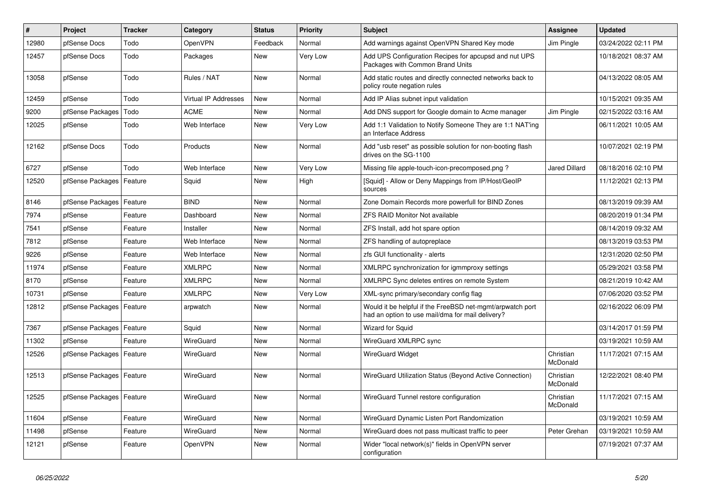| #     | Project                    | <b>Tracker</b> | Category                    | <b>Status</b> | <b>Priority</b> | <b>Subject</b>                                                                                                | <b>Assignee</b>       | <b>Updated</b>      |
|-------|----------------------------|----------------|-----------------------------|---------------|-----------------|---------------------------------------------------------------------------------------------------------------|-----------------------|---------------------|
| 12980 | pfSense Docs               | Todo           | <b>OpenVPN</b>              | Feedback      | Normal          | Add warnings against OpenVPN Shared Key mode                                                                  | Jim Pingle            | 03/24/2022 02:11 PM |
| 12457 | pfSense Docs               | Todo           | Packages                    | <b>New</b>    | Very Low        | Add UPS Configuration Recipes for apcupsd and nut UPS<br>Packages with Common Brand Units                     |                       | 10/18/2021 08:37 AM |
| 13058 | pfSense                    | Todo           | Rules / NAT                 | New           | Normal          | Add static routes and directly connected networks back to<br>policy route negation rules                      |                       | 04/13/2022 08:05 AM |
| 12459 | pfSense                    | Todo           | <b>Virtual IP Addresses</b> | <b>New</b>    | Normal          | Add IP Alias subnet input validation                                                                          |                       | 10/15/2021 09:35 AM |
| 9200  | pfSense Packages           | Todo           | <b>ACME</b>                 | <b>New</b>    | Normal          | Add DNS support for Google domain to Acme manager                                                             | Jim Pingle            | 02/15/2022 03:16 AM |
| 12025 | pfSense                    | Todo           | Web Interface               | <b>New</b>    | Very Low        | Add 1:1 Validation to Notify Someone They are 1:1 NAT'ing<br>an Interface Address                             |                       | 06/11/2021 10:05 AM |
| 12162 | pfSense Docs               | Todo           | Products                    | <b>New</b>    | Normal          | Add "usb reset" as possible solution for non-booting flash<br>drives on the SG-1100                           |                       | 10/07/2021 02:19 PM |
| 6727  | pfSense                    | Todo           | Web Interface               | <b>New</b>    | Very Low        | Missing file apple-touch-icon-precomposed.png?                                                                | <b>Jared Dillard</b>  | 08/18/2016 02:10 PM |
| 12520 | pfSense Packages           | Feature        | Squid                       | New           | High            | [Squid] - Allow or Deny Mappings from IP/Host/GeoIP<br>sources                                                |                       | 11/12/2021 02:13 PM |
| 8146  | pfSense Packages           | Feature        | <b>BIND</b>                 | <b>New</b>    | Normal          | Zone Domain Records more powerfull for BIND Zones                                                             |                       | 08/13/2019 09:39 AM |
| 7974  | pfSense                    | Feature        | Dashboard                   | <b>New</b>    | Normal          | <b>ZFS RAID Monitor Not available</b>                                                                         |                       | 08/20/2019 01:34 PM |
| 7541  | pfSense                    | Feature        | Installer                   | New           | Normal          | ZFS Install, add hot spare option                                                                             |                       | 08/14/2019 09:32 AM |
| 7812  | pfSense                    | Feature        | Web Interface               | New           | Normal          | ZFS handling of autopreplace                                                                                  |                       | 08/13/2019 03:53 PM |
| 9226  | pfSense                    | Feature        | Web Interface               | New           | Normal          | zfs GUI functionality - alerts                                                                                |                       | 12/31/2020 02:50 PM |
| 11974 | pfSense                    | Feature        | <b>XMLRPC</b>               | New           | Normal          | XMLRPC synchronization for igmmproxy settings                                                                 |                       | 05/29/2021 03:58 PM |
| 8170  | pfSense                    | Feature        | <b>XMLRPC</b>               | <b>New</b>    | Normal          | XMLRPC Sync deletes entires on remote System                                                                  |                       | 08/21/2019 10:42 AM |
| 10731 | pfSense                    | Feature        | <b>XMLRPC</b>               | <b>New</b>    | Very Low        | XML-sync primary/secondary config flag                                                                        |                       | 07/06/2020 03:52 PM |
| 12812 | pfSense Packages   Feature |                | arpwatch                    | New           | Normal          | Would it be helpful if the FreeBSD net-mgmt/arpwatch port<br>had an option to use mail/dma for mail delivery? |                       | 02/16/2022 06:09 PM |
| 7367  | pfSense Packages           | Feature        | Squid                       | <b>New</b>    | Normal          | <b>Wizard for Squid</b>                                                                                       |                       | 03/14/2017 01:59 PM |
| 11302 | pfSense                    | Feature        | WireGuard                   | <b>New</b>    | Normal          | WireGuard XMLRPC sync                                                                                         |                       | 03/19/2021 10:59 AM |
| 12526 | pfSense Packages           | Feature        | WireGuard                   | <b>New</b>    | Normal          | <b>WireGuard Widget</b>                                                                                       | Christian<br>McDonald | 11/17/2021 07:15 AM |
| 12513 | pfSense Packages           | Feature        | WireGuard                   | <b>New</b>    | Normal          | WireGuard Utilization Status (Beyond Active Connection)                                                       | Christian<br>McDonald | 12/22/2021 08:40 PM |
| 12525 | pfSense Packages           | Feature        | WireGuard                   | <b>New</b>    | Normal          | WireGuard Tunnel restore configuration                                                                        | Christian<br>McDonald | 11/17/2021 07:15 AM |
| 11604 | pfSense                    | Feature        | WireGuard                   | <b>New</b>    | Normal          | WireGuard Dynamic Listen Port Randomization                                                                   |                       | 03/19/2021 10:59 AM |
| 11498 | pfSense                    | Feature        | WireGuard                   | <b>New</b>    | Normal          | WireGuard does not pass multicast traffic to peer                                                             | Peter Grehan          | 03/19/2021 10:59 AM |
| 12121 | pfSense                    | Feature        | <b>OpenVPN</b>              | <b>New</b>    | Normal          | Wider "local network(s)" fields in OpenVPN server<br>configuration                                            |                       | 07/19/2021 07:37 AM |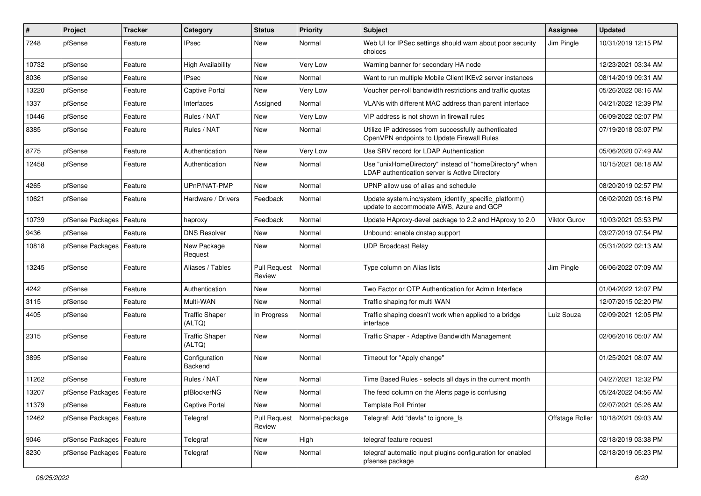| $\sharp$ | Project                    | <b>Tracker</b> | Category                        | <b>Status</b>                 | <b>Priority</b> | <b>Subject</b>                                                                                            | <b>Assignee</b>     | <b>Updated</b>      |
|----------|----------------------------|----------------|---------------------------------|-------------------------------|-----------------|-----------------------------------------------------------------------------------------------------------|---------------------|---------------------|
| 7248     | pfSense                    | Feature        | <b>IPsec</b>                    | New                           | Normal          | Web UI for IPSec settings should warn about poor security<br>choices                                      | Jim Pingle          | 10/31/2019 12:15 PM |
| 10732    | pfSense                    | Feature        | <b>High Availability</b>        | New                           | Very Low        | Warning banner for secondary HA node                                                                      |                     | 12/23/2021 03:34 AM |
| 8036     | pfSense                    | Feature        | <b>IPsec</b>                    | New                           | Normal          | Want to run multiple Mobile Client IKEv2 server instances                                                 |                     | 08/14/2019 09:31 AM |
| 13220    | pfSense                    | Feature        | <b>Captive Portal</b>           | New                           | <b>Very Low</b> | Voucher per-roll bandwidth restrictions and traffic quotas                                                |                     | 05/26/2022 08:16 AM |
| 1337     | pfSense                    | Feature        | Interfaces                      | Assigned                      | Normal          | VLANs with different MAC address than parent interface                                                    |                     | 04/21/2022 12:39 PM |
| 10446    | pfSense                    | Feature        | Rules / NAT                     | New                           | <b>Very Low</b> | VIP address is not shown in firewall rules                                                                |                     | 06/09/2022 02:07 PM |
| 8385     | pfSense                    | Feature        | Rules / NAT                     | New                           | Normal          | Utilize IP addresses from successfully authenticated<br>OpenVPN endpoints to Update Firewall Rules        |                     | 07/19/2018 03:07 PM |
| 8775     | pfSense                    | Feature        | Authentication                  | <b>New</b>                    | <b>Very Low</b> | Use SRV record for LDAP Authentication                                                                    |                     | 05/06/2020 07:49 AM |
| 12458    | pfSense                    | Feature        | Authentication                  | New                           | Normal          | Use "unixHomeDirectory" instead of "homeDirectory" when<br>LDAP authentication server is Active Directory |                     | 10/15/2021 08:18 AM |
| 4265     | pfSense                    | Feature        | UPnP/NAT-PMP                    | New                           | Normal          | UPNP allow use of alias and schedule                                                                      |                     | 08/20/2019 02:57 PM |
| 10621    | pfSense                    | Feature        | Hardware / Drivers              | Feedback                      | Normal          | Update system.inc/system_identify_specific_platform()<br>update to accommodate AWS, Azure and GCP         |                     | 06/02/2020 03:16 PM |
| 10739    | pfSense Packages           | Feature        | haproxy                         | Feedback                      | Normal          | Update HAproxy-devel package to 2.2 and HAproxy to 2.0                                                    | <b>Viktor Gurov</b> | 10/03/2021 03:53 PM |
| 9436     | pfSense                    | Feature        | <b>DNS Resolver</b>             | New                           | Normal          | Unbound: enable dnstap support                                                                            |                     | 03/27/2019 07:54 PM |
| 10818    | pfSense Packages   Feature |                | New Package<br>Request          | New                           | Normal          | <b>UDP Broadcast Relay</b>                                                                                |                     | 05/31/2022 02:13 AM |
| 13245    | pfSense                    | Feature        | Aliases / Tables                | <b>Pull Request</b><br>Review | Normal          | Type column on Alias lists                                                                                | Jim Pingle          | 06/06/2022 07:09 AM |
| 4242     | pfSense                    | Feature        | Authentication                  | New                           | Normal          | Two Factor or OTP Authentication for Admin Interface                                                      |                     | 01/04/2022 12:07 PM |
| 3115     | pfSense                    | Feature        | Multi-WAN                       | <b>New</b>                    | Normal          | Traffic shaping for multi WAN                                                                             |                     | 12/07/2015 02:20 PM |
| 4405     | pfSense                    | Feature        | <b>Traffic Shaper</b><br>(ALTQ) | In Progress                   | Normal          | Traffic shaping doesn't work when applied to a bridge<br>interface                                        | Luiz Souza          | 02/09/2021 12:05 PM |
| 2315     | pfSense                    | Feature        | <b>Traffic Shaper</b><br>(ALTQ) | <b>New</b>                    | Normal          | Traffic Shaper - Adaptive Bandwidth Management                                                            |                     | 02/06/2016 05:07 AM |
| 3895     | pfSense                    | Feature        | Configuration<br>Backend        | New                           | Normal          | Timeout for "Apply change"                                                                                |                     | 01/25/2021 08:07 AM |
| 11262    | pfSense                    | Feature        | Rules / NAT                     | New                           | Normal          | Time Based Rules - selects all days in the current month                                                  |                     | 04/27/2021 12:32 PM |
| 13207    | pfSense Packages   Feature |                | pfBlockerNG                     | <b>New</b>                    | Normal          | The feed column on the Alerts page is confusing                                                           |                     | 05/24/2022 04:56 AM |
| 11379    | pfSense                    | Feature        | <b>Captive Portal</b>           | New                           | Normal          | <b>Template Roll Printer</b>                                                                              |                     | 02/07/2021 05:26 AM |
| 12462    | pfSense Packages           | Feature        | Telegraf                        | <b>Pull Request</b><br>Review | Normal-package  | Telegraf: Add "devfs" to ignore fs                                                                        | Offstage Roller     | 10/18/2021 09:03 AM |
| 9046     | pfSense Packages   Feature |                | Telegraf                        | New                           | High            | telegraf feature request                                                                                  |                     | 02/18/2019 03:38 PM |
| 8230     | pfSense Packages   Feature |                | Telegraf                        | New                           | Normal          | telegraf automatic input plugins configuration for enabled<br>pfsense package                             |                     | 02/18/2019 05:23 PM |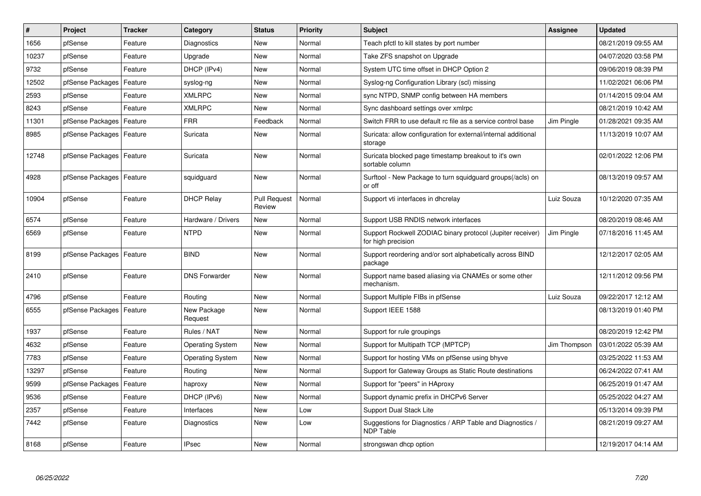| #     | Project          | <b>Tracker</b> | Category                | <b>Status</b>                 | Priority | <b>Subject</b>                                                                   | Assignee     | <b>Updated</b>      |
|-------|------------------|----------------|-------------------------|-------------------------------|----------|----------------------------------------------------------------------------------|--------------|---------------------|
| 1656  | pfSense          | Feature        | Diagnostics             | <b>New</b>                    | Normal   | Teach pfctl to kill states by port number                                        |              | 08/21/2019 09:55 AM |
| 10237 | pfSense          | Feature        | Upgrade                 | New                           | Normal   | Take ZFS snapshot on Upgrade                                                     |              | 04/07/2020 03:58 PM |
| 9732  | pfSense          | Feature        | DHCP (IPv4)             | New                           | Normal   | System UTC time offset in DHCP Option 2                                          |              | 09/06/2019 08:39 PM |
| 12502 | pfSense Packages | Feature        | syslog-ng               | New                           | Normal   | Syslog-ng Configuration Library (scl) missing                                    |              | 11/02/2021 06:06 PM |
| 2593  | pfSense          | Feature        | <b>XMLRPC</b>           | New                           | Normal   | sync NTPD, SNMP config between HA members                                        |              | 01/14/2015 09:04 AM |
| 8243  | pfSense          | Feature        | <b>XMLRPC</b>           | New                           | Normal   | Sync dashboard settings over xmlrpc                                              |              | 08/21/2019 10:42 AM |
| 11301 | pfSense Packages | Feature        | <b>FRR</b>              | Feedback                      | Normal   | Switch FRR to use default rc file as a service control base                      | Jim Pingle   | 01/28/2021 09:35 AM |
| 8985  | pfSense Packages | Feature        | Suricata                | <b>New</b>                    | Normal   | Suricata: allow configuration for external/internal additional<br>storage        |              | 11/13/2019 10:07 AM |
| 12748 | pfSense Packages | Feature        | Suricata                | New                           | Normal   | Suricata blocked page timestamp breakout to it's own<br>sortable column          |              | 02/01/2022 12:06 PM |
| 4928  | pfSense Packages | Feature        | squidguard              | <b>New</b>                    | Normal   | Surftool - New Package to turn squidguard groups(/acls) on<br>or off             |              | 08/13/2019 09:57 AM |
| 10904 | pfSense          | Feature        | <b>DHCP Relay</b>       | <b>Pull Request</b><br>Review | Normal   | Support vti interfaces in dhcrelay                                               | Luiz Souza   | 10/12/2020 07:35 AM |
| 6574  | pfSense          | Feature        | Hardware / Drivers      | New                           | Normal   | Support USB RNDIS network interfaces                                             |              | 08/20/2019 08:46 AM |
| 6569  | pfSense          | Feature        | <b>NTPD</b>             | <b>New</b>                    | Normal   | Support Rockwell ZODIAC binary protocol (Jupiter receiver)<br>for high precision | Jim Pingle   | 07/18/2016 11:45 AM |
| 8199  | pfSense Packages | Feature        | <b>BIND</b>             | <b>New</b>                    | Normal   | Support reordering and/or sort alphabetically across BIND<br>package             |              | 12/12/2017 02:05 AM |
| 2410  | pfSense          | Feature        | <b>DNS Forwarder</b>    | New                           | Normal   | Support name based aliasing via CNAMEs or some other<br>mechanism.               |              | 12/11/2012 09:56 PM |
| 4796  | pfSense          | Feature        | Routing                 | New                           | Normal   | Support Multiple FIBs in pfSense                                                 | Luiz Souza   | 09/22/2017 12:12 AM |
| 6555  | pfSense Packages | Feature        | New Package<br>Request  | New                           | Normal   | Support IEEE 1588                                                                |              | 08/13/2019 01:40 PM |
| 1937  | pfSense          | Feature        | Rules / NAT             | New                           | Normal   | Support for rule groupings                                                       |              | 08/20/2019 12:42 PM |
| 4632  | pfSense          | Feature        | <b>Operating System</b> | New                           | Normal   | Support for Multipath TCP (MPTCP)                                                | Jim Thompson | 03/01/2022 05:39 AM |
| 7783  | pfSense          | Feature        | <b>Operating System</b> | <b>New</b>                    | Normal   | Support for hosting VMs on pfSense using bhyve                                   |              | 03/25/2022 11:53 AM |
| 13297 | pfSense          | Feature        | Routing                 | New                           | Normal   | Support for Gateway Groups as Static Route destinations                          |              | 06/24/2022 07:41 AM |
| 9599  | pfSense Packages | Feature        | haproxy                 | New                           | Normal   | Support for "peers" in HAproxy                                                   |              | 06/25/2019 01:47 AM |
| 9536  | pfSense          | Feature        | DHCP (IPv6)             | New                           | Normal   | Support dynamic prefix in DHCPv6 Server                                          |              | 05/25/2022 04:27 AM |
| 2357  | pfSense          | Feature        | Interfaces              | New                           | Low      | Support Dual Stack Lite                                                          |              | 05/13/2014 09:39 PM |
| 7442  | pfSense          | Feature        | Diagnostics             | New                           | Low      | Suggestions for Diagnostics / ARP Table and Diagnostics /<br><b>NDP Table</b>    |              | 08/21/2019 09:27 AM |
| 8168  | pfSense          | Feature        | <b>IPsec</b>            | New                           | Normal   | strongswan dhcp option                                                           |              | 12/19/2017 04:14 AM |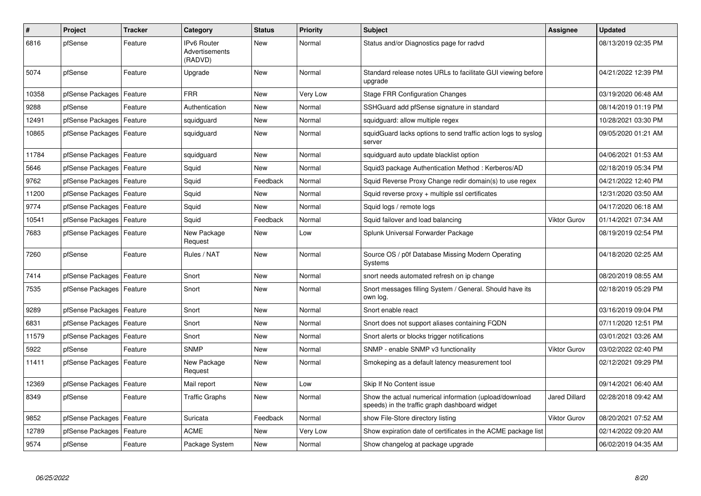| $\pmb{\#}$ | Project                    | <b>Tracker</b> | Category                                        | <b>Status</b> | <b>Priority</b> | <b>Subject</b>                                                                                          | Assignee             | <b>Updated</b>      |
|------------|----------------------------|----------------|-------------------------------------------------|---------------|-----------------|---------------------------------------------------------------------------------------------------------|----------------------|---------------------|
| 6816       | pfSense                    | Feature        | <b>IPv6 Router</b><br>Advertisements<br>(RADVD) | <b>New</b>    | Normal          | Status and/or Diagnostics page for radvd                                                                |                      | 08/13/2019 02:35 PM |
| 5074       | pfSense                    | Feature        | Upgrade                                         | New           | Normal          | Standard release notes URLs to facilitate GUI viewing before<br>upgrade                                 |                      | 04/21/2022 12:39 PM |
| 10358      | pfSense Packages           | Feature        | <b>FRR</b>                                      | New           | Very Low        | Stage FRR Configuration Changes                                                                         |                      | 03/19/2020 06:48 AM |
| 9288       | pfSense                    | Feature        | Authentication                                  | New           | Normal          | SSHGuard add pfSense signature in standard                                                              |                      | 08/14/2019 01:19 PM |
| 12491      | pfSense Packages           | Feature        | squidguard                                      | New           | Normal          | squidguard: allow multiple regex                                                                        |                      | 10/28/2021 03:30 PM |
| 10865      | pfSense Packages   Feature |                | squidguard                                      | <b>New</b>    | Normal          | squidGuard lacks options to send traffic action logs to syslog<br>server                                |                      | 09/05/2020 01:21 AM |
| 11784      | pfSense Packages           | Feature        | squidguard                                      | <b>New</b>    | Normal          | squidguard auto update blacklist option                                                                 |                      | 04/06/2021 01:53 AM |
| 5646       | pfSense Packages           | Feature        | Squid                                           | <b>New</b>    | Normal          | Squid3 package Authentication Method: Kerberos/AD                                                       |                      | 02/18/2019 05:34 PM |
| 9762       | pfSense Packages           | Feature        | Squid                                           | Feedback      | Normal          | Squid Reverse Proxy Change redir domain(s) to use regex                                                 |                      | 04/21/2022 12:40 PM |
| 11200      | pfSense Packages   Feature |                | Squid                                           | New           | Normal          | Squid reverse $proxy + \text{multiple}$ ssl certificates                                                |                      | 12/31/2020 03:50 AM |
| 9774       | pfSense Packages           | Feature        | Squid                                           | New           | Normal          | Squid logs / remote logs                                                                                |                      | 04/17/2020 06:18 AM |
| 10541      | pfSense Packages           | Feature        | Squid                                           | Feedback      | Normal          | Squid failover and load balancing                                                                       | Viktor Gurov         | 01/14/2021 07:34 AM |
| 7683       | pfSense Packages   Feature |                | New Package<br>Request                          | New           | Low             | Splunk Universal Forwarder Package                                                                      |                      | 08/19/2019 02:54 PM |
| 7260       | pfSense                    | Feature        | Rules / NAT                                     | <b>New</b>    | Normal          | Source OS / p0f Database Missing Modern Operating<br>Systems                                            |                      | 04/18/2020 02:25 AM |
| 7414       | pfSense Packages           | Feature        | Snort                                           | <b>New</b>    | Normal          | snort needs automated refresh on ip change                                                              |                      | 08/20/2019 08:55 AM |
| 7535       | pfSense Packages           | Feature        | Snort                                           | <b>New</b>    | Normal          | Snort messages filling System / General. Should have its<br>own log.                                    |                      | 02/18/2019 05:29 PM |
| 9289       | pfSense Packages           | Feature        | Snort                                           | <b>New</b>    | Normal          | Snort enable react                                                                                      |                      | 03/16/2019 09:04 PM |
| 6831       | pfSense Packages           | Feature        | Snort                                           | New           | Normal          | Snort does not support aliases containing FQDN                                                          |                      | 07/11/2020 12:51 PM |
| 11579      | pfSense Packages           | Feature        | Snort                                           | <b>New</b>    | Normal          | Snort alerts or blocks trigger notifications                                                            |                      | 03/01/2021 03:26 AM |
| 5922       | pfSense                    | Feature        | <b>SNMP</b>                                     | New           | Normal          | SNMP - enable SNMP v3 functionality                                                                     | Viktor Gurov         | 03/02/2022 02:40 PM |
| 11411      | pfSense Packages   Feature |                | New Package<br>Request                          | New           | Normal          | Smokeping as a default latency measurement tool                                                         |                      | 02/12/2021 09:29 PM |
| 12369      | pfSense Packages           | Feature        | Mail report                                     | <b>New</b>    | Low             | Skip If No Content issue                                                                                |                      | 09/14/2021 06:40 AM |
| 8349       | pfSense                    | Feature        | <b>Traffic Graphs</b>                           | <b>New</b>    | Normal          | Show the actual numerical information (upload/download<br>speeds) in the traffic graph dashboard widget | <b>Jared Dillard</b> | 02/28/2018 09:42 AM |
| 9852       | pfSense Packages           | Feature        | Suricata                                        | Feedback      | Normal          | show File-Store directory listing                                                                       | <b>Viktor Gurov</b>  | 08/20/2021 07:52 AM |
| 12789      | pfSense Packages           | Feature        | <b>ACME</b>                                     | New           | Very Low        | Show expiration date of certificates in the ACME package list                                           |                      | 02/14/2022 09:20 AM |
| 9574       | pfSense                    | Feature        | Package System                                  | <b>New</b>    | Normal          | Show changelog at package upgrade                                                                       |                      | 06/02/2019 04:35 AM |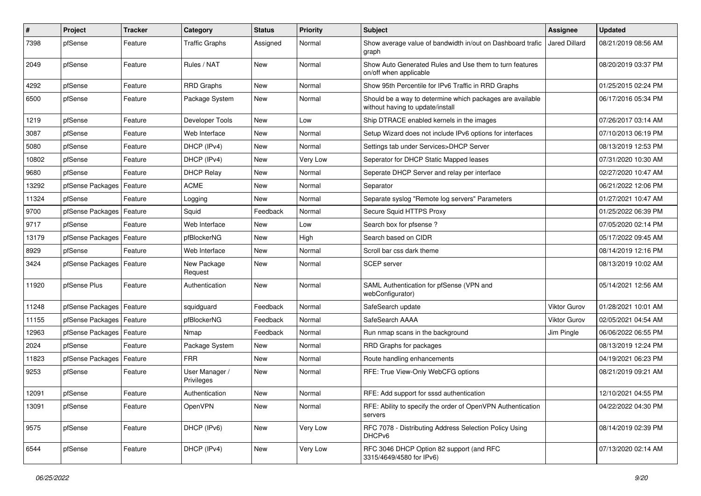| $\pmb{\#}$ | Project                    | <b>Tracker</b> | Category                     | <b>Status</b> | <b>Priority</b> | <b>Subject</b>                                                                                | <b>Assignee</b>      | <b>Updated</b>      |
|------------|----------------------------|----------------|------------------------------|---------------|-----------------|-----------------------------------------------------------------------------------------------|----------------------|---------------------|
| 7398       | pfSense                    | Feature        | <b>Traffic Graphs</b>        | Assigned      | Normal          | Show average value of bandwidth in/out on Dashboard trafic<br>graph                           | <b>Jared Dillard</b> | 08/21/2019 08:56 AM |
| 2049       | pfSense                    | Feature        | Rules / NAT                  | <b>New</b>    | Normal          | Show Auto Generated Rules and Use them to turn features<br>on/off when applicable             |                      | 08/20/2019 03:37 PM |
| 4292       | pfSense                    | Feature        | <b>RRD Graphs</b>            | New           | Normal          | Show 95th Percentile for IPv6 Traffic in RRD Graphs                                           |                      | 01/25/2015 02:24 PM |
| 6500       | pfSense                    | Feature        | Package System               | New           | Normal          | Should be a way to determine which packages are available<br>without having to update/install |                      | 06/17/2016 05:34 PM |
| 1219       | pfSense                    | Feature        | Developer Tools              | <b>New</b>    | Low             | Ship DTRACE enabled kernels in the images                                                     |                      | 07/26/2017 03:14 AM |
| 3087       | pfSense                    | Feature        | Web Interface                | New           | Normal          | Setup Wizard does not include IPv6 options for interfaces                                     |                      | 07/10/2013 06:19 PM |
| 5080       | pfSense                    | Feature        | DHCP (IPv4)                  | <b>New</b>    | Normal          | Settings tab under Services>DHCP Server                                                       |                      | 08/13/2019 12:53 PM |
| 10802      | pfSense                    | Feature        | DHCP (IPv4)                  | New           | Very Low        | Seperator for DHCP Static Mapped leases                                                       |                      | 07/31/2020 10:30 AM |
| 9680       | pfSense                    | Feature        | <b>DHCP Relay</b>            | New           | Normal          | Seperate DHCP Server and relay per interface                                                  |                      | 02/27/2020 10:47 AM |
| 13292      | pfSense Packages           | Feature        | <b>ACME</b>                  | New           | Normal          | Separator                                                                                     |                      | 06/21/2022 12:06 PM |
| 11324      | pfSense                    | Feature        | Logging                      | New           | Normal          | Separate syslog "Remote log servers" Parameters                                               |                      | 01/27/2021 10:47 AM |
| 9700       | pfSense Packages           | Feature        | Squid                        | Feedback      | Normal          | Secure Squid HTTPS Proxy                                                                      |                      | 01/25/2022 06:39 PM |
| 9717       | pfSense                    | Feature        | Web Interface                | New           | Low             | Search box for pfsense?                                                                       |                      | 07/05/2020 02:14 PM |
| 13179      | pfSense Packages           | Feature        | pfBlockerNG                  | <b>New</b>    | High            | Search based on CIDR                                                                          |                      | 05/17/2022 09:45 AM |
| 8929       | pfSense                    | Feature        | Web Interface                | New           | Normal          | Scroll bar css dark theme                                                                     |                      | 08/14/2019 12:16 PM |
| 3424       | pfSense Packages   Feature |                | New Package<br>Request       | <b>New</b>    | Normal          | <b>SCEP</b> server                                                                            |                      | 08/13/2019 10:02 AM |
| 11920      | pfSense Plus               | Feature        | Authentication               | New           | Normal          | SAML Authentication for pfSense (VPN and<br>webConfigurator)                                  |                      | 05/14/2021 12:56 AM |
| 11248      | pfSense Packages   Feature |                | squidguard                   | Feedback      | Normal          | SafeSearch update                                                                             | <b>Viktor Gurov</b>  | 01/28/2021 10:01 AM |
| 11155      | pfSense Packages           | Feature        | pfBlockerNG                  | Feedback      | Normal          | SafeSearch AAAA                                                                               | <b>Viktor Gurov</b>  | 02/05/2021 04:54 AM |
| 12963      | pfSense Packages           | Feature        | Nmap                         | Feedback      | Normal          | Run nmap scans in the background                                                              | Jim Pingle           | 06/06/2022 06:55 PM |
| 2024       | pfSense                    | Feature        | Package System               | <b>New</b>    | Normal          | RRD Graphs for packages                                                                       |                      | 08/13/2019 12:24 PM |
| 11823      | pfSense Packages           | Feature        | <b>FRR</b>                   | <b>New</b>    | Normal          | Route handling enhancements                                                                   |                      | 04/19/2021 06:23 PM |
| 9253       | pfSense                    | Feature        | User Manager /<br>Privileges | New           | Normal          | RFE: True View-Only WebCFG options                                                            |                      | 08/21/2019 09:21 AM |
| 12091      | pfSense                    | Feature        | Authentication               | <b>New</b>    | Normal          | RFE: Add support for sssd authentication                                                      |                      | 12/10/2021 04:55 PM |
| 13091      | pfSense                    | Feature        | OpenVPN                      | New           | Normal          | RFE: Ability to specify the order of OpenVPN Authentication<br>servers                        |                      | 04/22/2022 04:30 PM |
| 9575       | pfSense                    | Feature        | DHCP (IPv6)                  | New           | Very Low        | RFC 7078 - Distributing Address Selection Policy Using<br>DHCP <sub>v6</sub>                  |                      | 08/14/2019 02:39 PM |
| 6544       | pfSense                    | Feature        | DHCP (IPv4)                  | New           | Very Low        | RFC 3046 DHCP Option 82 support (and RFC<br>3315/4649/4580 for IPv6)                          |                      | 07/13/2020 02:14 AM |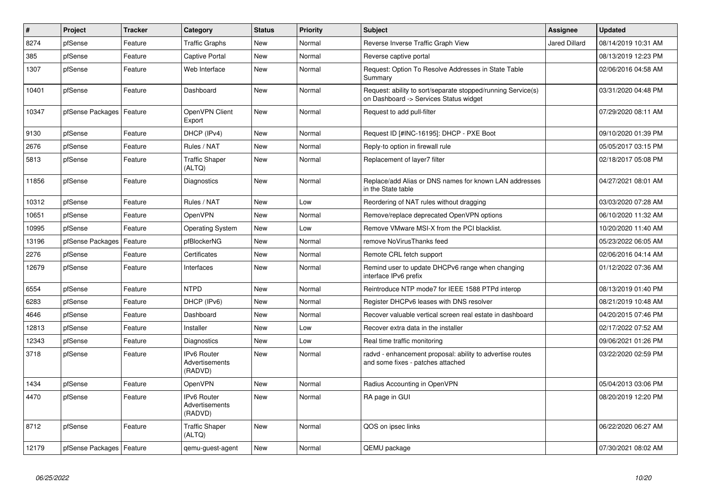| $\vert$ # | Project                    | <b>Tracker</b> | Category                                        | <b>Status</b> | <b>Priority</b> | <b>Subject</b>                                                                                         | <b>Assignee</b>      | <b>Updated</b>      |
|-----------|----------------------------|----------------|-------------------------------------------------|---------------|-----------------|--------------------------------------------------------------------------------------------------------|----------------------|---------------------|
| 8274      | pfSense                    | Feature        | <b>Traffic Graphs</b>                           | <b>New</b>    | Normal          | Reverse Inverse Traffic Graph View                                                                     | <b>Jared Dillard</b> | 08/14/2019 10:31 AM |
| 385       | pfSense                    | Feature        | <b>Captive Portal</b>                           | <b>New</b>    | Normal          | Reverse captive portal                                                                                 |                      | 08/13/2019 12:23 PM |
| 1307      | pfSense                    | Feature        | Web Interface                                   | <b>New</b>    | Normal          | Request: Option To Resolve Addresses in State Table<br>Summary                                         |                      | 02/06/2016 04:58 AM |
| 10401     | pfSense                    | Feature        | Dashboard                                       | <b>New</b>    | Normal          | Request: ability to sort/separate stopped/running Service(s)<br>on Dashboard -> Services Status widget |                      | 03/31/2020 04:48 PM |
| 10347     | pfSense Packages           | Feature        | OpenVPN Client<br>Export                        | New           | Normal          | Request to add pull-filter                                                                             |                      | 07/29/2020 08:11 AM |
| 9130      | pfSense                    | Feature        | DHCP (IPv4)                                     | <b>New</b>    | Normal          | Request ID [#INC-16195]: DHCP - PXE Boot                                                               |                      | 09/10/2020 01:39 PM |
| 2676      | pfSense                    | Feature        | Rules / NAT                                     | <b>New</b>    | Normal          | Reply-to option in firewall rule                                                                       |                      | 05/05/2017 03:15 PM |
| 5813      | pfSense                    | Feature        | <b>Traffic Shaper</b><br>(ALTQ)                 | <b>New</b>    | Normal          | Replacement of layer7 filter                                                                           |                      | 02/18/2017 05:08 PM |
| 11856     | pfSense                    | Feature        | Diagnostics                                     | New           | Normal          | Replace/add Alias or DNS names for known LAN addresses<br>in the State table                           |                      | 04/27/2021 08:01 AM |
| 10312     | pfSense                    | Feature        | Rules / NAT                                     | <b>New</b>    | Low             | Reordering of NAT rules without dragging                                                               |                      | 03/03/2020 07:28 AM |
| 10651     | pfSense                    | Feature        | OpenVPN                                         | <b>New</b>    | Normal          | Remove/replace deprecated OpenVPN options                                                              |                      | 06/10/2020 11:32 AM |
| 10995     | pfSense                    | Feature        | <b>Operating System</b>                         | New           | Low             | Remove VMware MSI-X from the PCI blacklist.                                                            |                      | 10/20/2020 11:40 AM |
| 13196     | pfSense Packages           | Feature        | pfBlockerNG                                     | New           | Normal          | remove NoVirusThanks feed                                                                              |                      | 05/23/2022 06:05 AM |
| 2276      | pfSense                    | Feature        | Certificates                                    | <b>New</b>    | Normal          | Remote CRL fetch support                                                                               |                      | 02/06/2016 04:14 AM |
| 12679     | pfSense                    | Feature        | Interfaces                                      | <b>New</b>    | Normal          | Remind user to update DHCPv6 range when changing<br>interface IPv6 prefix                              |                      | 01/12/2022 07:36 AM |
| 6554      | pfSense                    | Feature        | <b>NTPD</b>                                     | <b>New</b>    | Normal          | Reintroduce NTP mode7 for IEEE 1588 PTPd interop                                                       |                      | 08/13/2019 01:40 PM |
| 6283      | pfSense                    | Feature        | DHCP (IPv6)                                     | <b>New</b>    | Normal          | Register DHCPv6 leases with DNS resolver                                                               |                      | 08/21/2019 10:48 AM |
| 4646      | pfSense                    | Feature        | Dashboard                                       | <b>New</b>    | Normal          | Recover valuable vertical screen real estate in dashboard                                              |                      | 04/20/2015 07:46 PM |
| 12813     | pfSense                    | Feature        | Installer                                       | New           | Low             | Recover extra data in the installer                                                                    |                      | 02/17/2022 07:52 AM |
| 12343     | pfSense                    | Feature        | Diagnostics                                     | New           | Low             | Real time traffic monitoring                                                                           |                      | 09/06/2021 01:26 PM |
| 3718      | pfSense                    | Feature        | <b>IPv6 Router</b><br>Advertisements<br>(RADVD) | <b>New</b>    | Normal          | radvd - enhancement proposal: ability to advertise routes<br>and some fixes - patches attached         |                      | 03/22/2020 02:59 PM |
| 1434      | pfSense                    | Feature        | OpenVPN                                         | <b>New</b>    | Normal          | Radius Accounting in OpenVPN                                                                           |                      | 05/04/2013 03:06 PM |
| 4470      | pfSense                    | Feature        | <b>IPv6 Router</b><br>Advertisements<br>(RADVD) | New           | Normal          | RA page in GUI                                                                                         |                      | 08/20/2019 12:20 PM |
| 8712      | pfSense                    | Feature        | <b>Traffic Shaper</b><br>(ALTQ)                 | New           | Normal          | QOS on ipsec links                                                                                     |                      | 06/22/2020 06:27 AM |
| 12179     | pfSense Packages   Feature |                | gemu-guest-agent                                | New           | Normal          | QEMU package                                                                                           |                      | 07/30/2021 08:02 AM |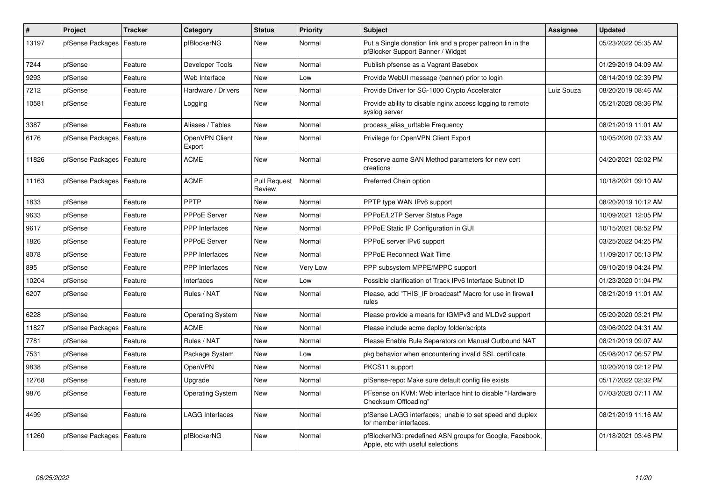| $\pmb{\#}$ | Project                    | <b>Tracker</b> | Category                 | <b>Status</b>                 | <b>Priority</b> | <b>Subject</b>                                                                                  | Assignee   | <b>Updated</b>      |
|------------|----------------------------|----------------|--------------------------|-------------------------------|-----------------|-------------------------------------------------------------------------------------------------|------------|---------------------|
| 13197      | pfSense Packages           | Feature        | pfBlockerNG              | <b>New</b>                    | Normal          | Put a Single donation link and a proper patreon lin in the<br>pfBlocker Support Banner / Widget |            | 05/23/2022 05:35 AM |
| 7244       | pfSense                    | Feature        | Developer Tools          | <b>New</b>                    | Normal          | Publish pfsense as a Vagrant Basebox                                                            |            | 01/29/2019 04:09 AM |
| 9293       | pfSense                    | Feature        | Web Interface            | <b>New</b>                    | Low             | Provide WebUI message (banner) prior to login                                                   |            | 08/14/2019 02:39 PM |
| 7212       | pfSense                    | Feature        | Hardware / Drivers       | <b>New</b>                    | Normal          | Provide Driver for SG-1000 Crypto Accelerator                                                   | Luiz Souza | 08/20/2019 08:46 AM |
| 10581      | pfSense                    | Feature        | Logging                  | <b>New</b>                    | Normal          | Provide ability to disable nginx access logging to remote<br>syslog server                      |            | 05/21/2020 08:36 PM |
| 3387       | pfSense                    | Feature        | Aliases / Tables         | <b>New</b>                    | Normal          | process_alias_urItable Frequency                                                                |            | 08/21/2019 11:01 AM |
| 6176       | pfSense Packages           | Feature        | OpenVPN Client<br>Export | New                           | Normal          | Privilege for OpenVPN Client Export                                                             |            | 10/05/2020 07:33 AM |
| 11826      | pfSense Packages   Feature |                | <b>ACME</b>              | <b>New</b>                    | Normal          | Preserve acme SAN Method parameters for new cert<br>creations                                   |            | 04/20/2021 02:02 PM |
| 11163      | pfSense Packages   Feature |                | <b>ACME</b>              | <b>Pull Request</b><br>Review | Normal          | Preferred Chain option                                                                          |            | 10/18/2021 09:10 AM |
| 1833       | pfSense                    | Feature        | <b>PPTP</b>              | <b>New</b>                    | Normal          | PPTP type WAN IPv6 support                                                                      |            | 08/20/2019 10:12 AM |
| 9633       | pfSense                    | Feature        | <b>PPPoE Server</b>      | New                           | Normal          | PPPoE/L2TP Server Status Page                                                                   |            | 10/09/2021 12:05 PM |
| 9617       | pfSense                    | Feature        | PPP Interfaces           | New                           | Normal          | PPPoE Static IP Configuration in GUI                                                            |            | 10/15/2021 08:52 PM |
| 1826       | pfSense                    | Feature        | <b>PPPoE Server</b>      | <b>New</b>                    | Normal          | PPPoE server IPv6 support                                                                       |            | 03/25/2022 04:25 PM |
| 8078       | pfSense                    | Feature        | <b>PPP</b> Interfaces    | <b>New</b>                    | Normal          | PPPoE Reconnect Wait Time                                                                       |            | 11/09/2017 05:13 PM |
| 895        | pfSense                    | Feature        | PPP Interfaces           | <b>New</b>                    | Very Low        | PPP subsystem MPPE/MPPC support                                                                 |            | 09/10/2019 04:24 PM |
| 10204      | pfSense                    | Feature        | Interfaces               | New                           | Low             | Possible clarification of Track IPv6 Interface Subnet ID                                        |            | 01/23/2020 01:04 PM |
| 6207       | pfSense                    | Feature        | Rules / NAT              | <b>New</b>                    | Normal          | Please, add "THIS IF broadcast" Macro for use in firewall<br>rules                              |            | 08/21/2019 11:01 AM |
| 6228       | pfSense                    | Feature        | <b>Operating System</b>  | <b>New</b>                    | Normal          | Please provide a means for IGMPv3 and MLDv2 support                                             |            | 05/20/2020 03:21 PM |
| 11827      | pfSense Packages           | Feature        | <b>ACME</b>              | New                           | Normal          | Please include acme deploy folder/scripts                                                       |            | 03/06/2022 04:31 AM |
| 7781       | pfSense                    | Feature        | Rules / NAT              | <b>New</b>                    | Normal          | Please Enable Rule Separators on Manual Outbound NAT                                            |            | 08/21/2019 09:07 AM |
| 7531       | pfSense                    | Feature        | Package System           | <b>New</b>                    | Low             | pkg behavior when encountering invalid SSL certificate                                          |            | 05/08/2017 06:57 PM |
| 9838       | pfSense                    | Feature        | <b>OpenVPN</b>           | <b>New</b>                    | Normal          | PKCS11 support                                                                                  |            | 10/20/2019 02:12 PM |
| 12768      | pfSense                    | Feature        | Upgrade                  | <b>New</b>                    | Normal          | pfSense-repo: Make sure default config file exists                                              |            | 05/17/2022 02:32 PM |
| 9876       | pfSense                    | Feature        | <b>Operating System</b>  | New                           | Normal          | PFsense on KVM: Web interface hint to disable "Hardware<br>Checksum Offloading"                 |            | 07/03/2020 07:11 AM |
| 4499       | pfSense                    | Feature        | <b>LAGG Interfaces</b>   | <b>New</b>                    | Normal          | pfSense LAGG interfaces; unable to set speed and duplex<br>for member interfaces.               |            | 08/21/2019 11:16 AM |
| 11260      | pfSense Packages           | Feature        | pfBlockerNG              | <b>New</b>                    | Normal          | pfBlockerNG: predefined ASN groups for Google, Facebook,<br>Apple, etc with useful selections   |            | 01/18/2021 03:46 PM |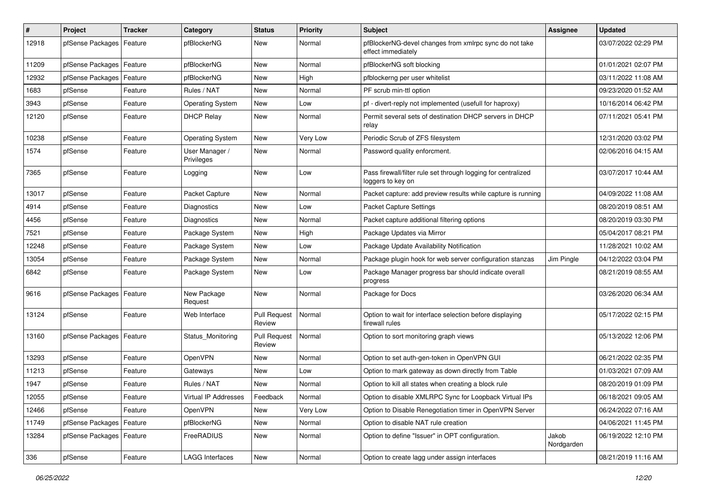| #     | Project                    | <b>Tracker</b> | Category                     | <b>Status</b>                 | <b>Priority</b> | <b>Subject</b>                                                                     | <b>Assignee</b>     | <b>Updated</b>      |
|-------|----------------------------|----------------|------------------------------|-------------------------------|-----------------|------------------------------------------------------------------------------------|---------------------|---------------------|
| 12918 | pfSense Packages           | Feature        | pfBlockerNG                  | New                           | Normal          | pfBlockerNG-devel changes from xmlrpc sync do not take<br>effect immediately       |                     | 03/07/2022 02:29 PM |
| 11209 | pfSense Packages           | Feature        | pfBlockerNG                  | New                           | Normal          | pfBlockerNG soft blocking                                                          |                     | 01/01/2021 02:07 PM |
| 12932 | pfSense Packages           | Feature        | pfBlockerNG                  | New                           | High            | pfblockerng per user whitelist                                                     |                     | 03/11/2022 11:08 AM |
| 1683  | pfSense                    | Feature        | Rules / NAT                  | New                           | Normal          | PF scrub min-ttl option                                                            |                     | 09/23/2020 01:52 AM |
| 3943  | pfSense                    | Feature        | <b>Operating System</b>      | New                           | Low             | pf - divert-reply not implemented (usefull for haproxy)                            |                     | 10/16/2014 06:42 PM |
| 12120 | pfSense                    | Feature        | <b>DHCP Relay</b>            | New                           | Normal          | Permit several sets of destination DHCP servers in DHCP<br>relay                   |                     | 07/11/2021 05:41 PM |
| 10238 | pfSense                    | Feature        | <b>Operating System</b>      | <b>New</b>                    | Very Low        | Periodic Scrub of ZFS filesystem                                                   |                     | 12/31/2020 03:02 PM |
| 1574  | pfSense                    | Feature        | User Manager /<br>Privileges | New                           | Normal          | Password quality enforcment.                                                       |                     | 02/06/2016 04:15 AM |
| 7365  | pfSense                    | Feature        | Logging                      | New                           | Low             | Pass firewall/filter rule set through logging for centralized<br>loggers to key on |                     | 03/07/2017 10:44 AM |
| 13017 | pfSense                    | Feature        | Packet Capture               | New                           | Normal          | Packet capture: add preview results while capture is running                       |                     | 04/09/2022 11:08 AM |
| 4914  | pfSense                    | Feature        | Diagnostics                  | New                           | Low             | Packet Capture Settings                                                            |                     | 08/20/2019 08:51 AM |
| 4456  | pfSense                    | Feature        | Diagnostics                  | <b>New</b>                    | Normal          | Packet capture additional filtering options                                        |                     | 08/20/2019 03:30 PM |
| 7521  | pfSense                    | Feature        | Package System               | <b>New</b>                    | High            | Package Updates via Mirror                                                         |                     | 05/04/2017 08:21 PM |
| 12248 | pfSense                    | Feature        | Package System               | New                           | Low             | Package Update Availability Notification                                           |                     | 11/28/2021 10:02 AM |
| 13054 | pfSense                    | Feature        | Package System               | New                           | Normal          | Package plugin hook for web server configuration stanzas                           | Jim Pingle          | 04/12/2022 03:04 PM |
| 6842  | pfSense                    | Feature        | Package System               | New                           | Low             | Package Manager progress bar should indicate overall<br>progress                   |                     | 08/21/2019 08:55 AM |
| 9616  | pfSense Packages           | Feature        | New Package<br>Request       | <b>New</b>                    | Normal          | Package for Docs                                                                   |                     | 03/26/2020 06:34 AM |
| 13124 | pfSense                    | Feature        | Web Interface                | <b>Pull Request</b><br>Review | Normal          | Option to wait for interface selection before displaying<br>firewall rules         |                     | 05/17/2022 02:15 PM |
| 13160 | pfSense Packages   Feature |                | Status Monitoring            | <b>Pull Request</b><br>Review | Normal          | Option to sort monitoring graph views                                              |                     | 05/13/2022 12:06 PM |
| 13293 | pfSense                    | Feature        | OpenVPN                      | New                           | Normal          | Option to set auth-gen-token in OpenVPN GUI                                        |                     | 06/21/2022 02:35 PM |
| 11213 | pfSense                    | Feature        | Gateways                     | New                           | Low             | Option to mark gateway as down directly from Table                                 |                     | 01/03/2021 07:09 AM |
| 1947  | pfSense                    | Feature        | Rules / NAT                  | New                           | Normal          | Option to kill all states when creating a block rule                               |                     | 08/20/2019 01:09 PM |
| 12055 | pfSense                    | Feature        | Virtual IP Addresses         | Feedback                      | Normal          | Option to disable XMLRPC Sync for Loopback Virtual IPs                             |                     | 06/18/2021 09:05 AM |
| 12466 | pfSense                    | Feature        | OpenVPN                      | New                           | Very Low        | Option to Disable Renegotiation timer in OpenVPN Server                            |                     | 06/24/2022 07:16 AM |
| 11749 | pfSense Packages           | Feature        | pfBlockerNG                  | New                           | Normal          | Option to disable NAT rule creation                                                |                     | 04/06/2021 11:45 PM |
| 13284 | pfSense Packages   Feature |                | FreeRADIUS                   | New                           | Normal          | Option to define "Issuer" in OPT configuration.                                    | Jakob<br>Nordgarden | 06/19/2022 12:10 PM |
| 336   | pfSense                    | Feature        | <b>LAGG Interfaces</b>       | New                           | Normal          | Option to create lagg under assign interfaces                                      |                     | 08/21/2019 11:16 AM |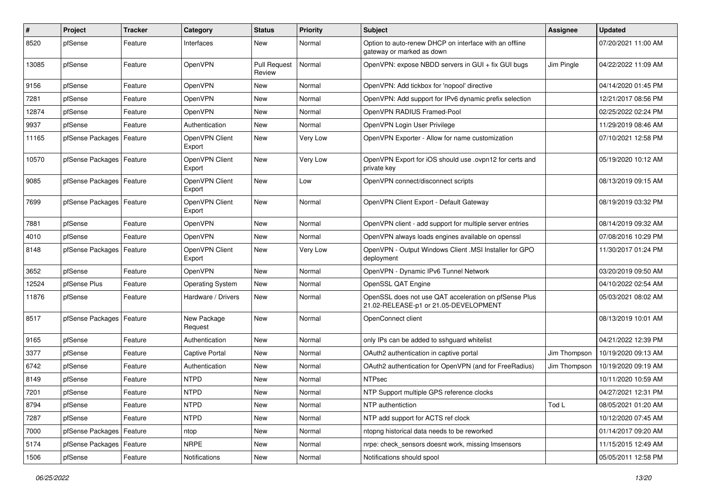| $\pmb{\#}$ | Project                    | <b>Tracker</b> | Category                 | <b>Status</b>                 | <b>Priority</b> | <b>Subject</b>                                                                                 | Assignee     | <b>Updated</b>      |
|------------|----------------------------|----------------|--------------------------|-------------------------------|-----------------|------------------------------------------------------------------------------------------------|--------------|---------------------|
| 8520       | pfSense                    | Feature        | Interfaces               | <b>New</b>                    | Normal          | Option to auto-renew DHCP on interface with an offline<br>gateway or marked as down            |              | 07/20/2021 11:00 AM |
| 13085      | pfSense                    | Feature        | OpenVPN                  | <b>Pull Request</b><br>Review | Normal          | OpenVPN: expose NBDD servers in GUI + fix GUI bugs                                             | Jim Pingle   | 04/22/2022 11:09 AM |
| 9156       | pfSense                    | Feature        | OpenVPN                  | New                           | Normal          | OpenVPN: Add tickbox for 'nopool' directive                                                    |              | 04/14/2020 01:45 PM |
| 7281       | pfSense                    | Feature        | OpenVPN                  | <b>New</b>                    | Normal          | OpenVPN: Add support for IPv6 dynamic prefix selection                                         |              | 12/21/2017 08:56 PM |
| 12874      | pfSense                    | Feature        | OpenVPN                  | <b>New</b>                    | Normal          | OpenVPN RADIUS Framed-Pool                                                                     |              | 02/25/2022 02:24 PM |
| 9937       | pfSense                    | Feature        | Authentication           | <b>New</b>                    | Normal          | OpenVPN Login User Privilege                                                                   |              | 11/29/2019 08:46 AM |
| 11165      | pfSense Packages           | Feature        | OpenVPN Client<br>Export | <b>New</b>                    | Very Low        | OpenVPN Exporter - Allow for name customization                                                |              | 07/10/2021 12:58 PM |
| 10570      | pfSense Packages   Feature |                | OpenVPN Client<br>Export | <b>New</b>                    | <b>Very Low</b> | OpenVPN Export for iOS should use .ovpn12 for certs and<br>private kev                         |              | 05/19/2020 10:12 AM |
| 9085       | pfSense Packages   Feature |                | OpenVPN Client<br>Export | <b>New</b>                    | Low             | OpenVPN connect/disconnect scripts                                                             |              | 08/13/2019 09:15 AM |
| 7699       | pfSense Packages   Feature |                | OpenVPN Client<br>Export | <b>New</b>                    | Normal          | OpenVPN Client Export - Default Gateway                                                        |              | 08/19/2019 03:32 PM |
| 7881       | pfSense                    | Feature        | OpenVPN                  | <b>New</b>                    | Normal          | OpenVPN client - add support for multiple server entries                                       |              | 08/14/2019 09:32 AM |
| 4010       | pfSense                    | Feature        | OpenVPN                  | <b>New</b>                    | Normal          | OpenVPN always loads engines available on openssl                                              |              | 07/08/2016 10:29 PM |
| 8148       | pfSense Packages           | Feature        | OpenVPN Client<br>Export | <b>New</b>                    | Very Low        | OpenVPN - Output Windows Client .MSI Installer for GPO<br>deployment                           |              | 11/30/2017 01:24 PM |
| 3652       | pfSense                    | Feature        | OpenVPN                  | <b>New</b>                    | Normal          | OpenVPN - Dynamic IPv6 Tunnel Network                                                          |              | 03/20/2019 09:50 AM |
| 12524      | pfSense Plus               | Feature        | <b>Operating System</b>  | New                           | Normal          | OpenSSL QAT Engine                                                                             |              | 04/10/2022 02:54 AM |
| 11876      | pfSense                    | Feature        | Hardware / Drivers       | <b>New</b>                    | Normal          | OpenSSL does not use QAT acceleration on pfSense Plus<br>21.02-RELEASE-p1 or 21.05-DEVELOPMENT |              | 05/03/2021 08:02 AM |
| 8517       | pfSense Packages           | Feature        | New Package<br>Request   | <b>New</b>                    | Normal          | OpenConnect client                                                                             |              | 08/13/2019 10:01 AM |
| 9165       | pfSense                    | Feature        | Authentication           | <b>New</b>                    | Normal          | only IPs can be added to sshguard whitelist                                                    |              | 04/21/2022 12:39 PM |
| 3377       | pfSense                    | Feature        | <b>Captive Portal</b>    | <b>New</b>                    | Normal          | OAuth2 authentication in captive portal                                                        | Jim Thompson | 10/19/2020 09:13 AM |
| 6742       | pfSense                    | Feature        | Authentication           | <b>New</b>                    | Normal          | OAuth2 authentication for OpenVPN (and for FreeRadius)                                         | Jim Thompson | 10/19/2020 09:19 AM |
| 8149       | pfSense                    | Feature        | <b>NTPD</b>              | <b>New</b>                    | Normal          | <b>NTPsec</b>                                                                                  |              | 10/11/2020 10:59 AM |
| 7201       | pfSense                    | Feature        | <b>NTPD</b>              | New                           | Normal          | NTP Support multiple GPS reference clocks                                                      |              | 04/27/2021 12:31 PM |
| 8794       | pfSense                    | Feature        | <b>NTPD</b>              | New                           | Normal          | NTP authentiction                                                                              | Tod L        | 08/05/2021 01:20 AM |
| 7287       | pfSense                    | Feature        | <b>NTPD</b>              | New                           | Normal          | NTP add support for ACTS ref clock                                                             |              | 10/12/2020 07:45 AM |
| 7000       | pfSense Packages           | Feature        | ntop                     | New                           | Normal          | ntopng historical data needs to be reworked                                                    |              | 01/14/2017 09:20 AM |
| 5174       | pfSense Packages           | Feature        | NRPE                     | New                           | Normal          | nrpe: check_sensors doesnt work, missing Imsensors                                             |              | 11/15/2015 12:49 AM |
| 1506       | pfSense                    | Feature        | Notifications            | New                           | Normal          | Notifications should spool                                                                     |              | 05/05/2011 12:58 PM |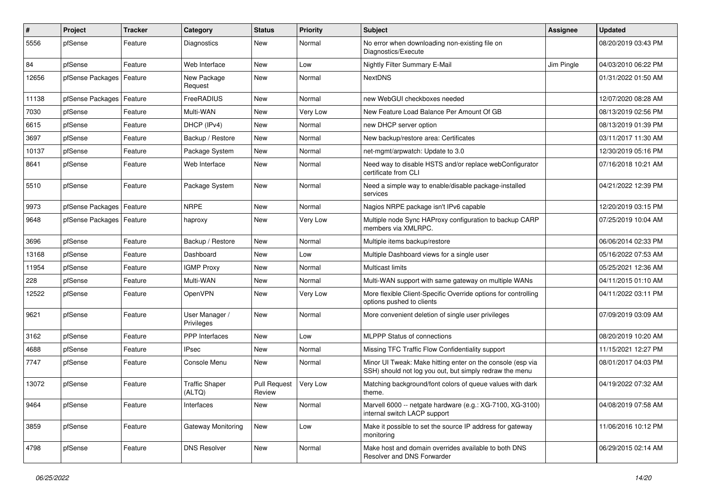| $\pmb{\#}$ | Project                    | <b>Tracker</b> | Category                        | <b>Status</b>                 | <b>Priority</b> | Subject                                                                                                               | <b>Assignee</b> | <b>Updated</b>      |
|------------|----------------------------|----------------|---------------------------------|-------------------------------|-----------------|-----------------------------------------------------------------------------------------------------------------------|-----------------|---------------------|
| 5556       | pfSense                    | Feature        | Diagnostics                     | New                           | Normal          | No error when downloading non-existing file on<br>Diagnostics/Execute                                                 |                 | 08/20/2019 03:43 PM |
| 84         | pfSense                    | Feature        | Web Interface                   | New                           | Low             | Nightly Filter Summary E-Mail                                                                                         | Jim Pingle      | 04/03/2010 06:22 PM |
| 12656      | pfSense Packages   Feature |                | New Package<br>Request          | <b>New</b>                    | Normal          | <b>NextDNS</b>                                                                                                        |                 | 01/31/2022 01:50 AM |
| 11138      | pfSense Packages           | Feature        | FreeRADIUS                      | New                           | Normal          | new WebGUI checkboxes needed                                                                                          |                 | 12/07/2020 08:28 AM |
| 7030       | pfSense                    | Feature        | Multi-WAN                       | New                           | Very Low        | New Feature Load Balance Per Amount Of GB                                                                             |                 | 08/13/2019 02:56 PM |
| 6615       | pfSense                    | Feature        | DHCP (IPv4)                     | <b>New</b>                    | Normal          | new DHCP server option                                                                                                |                 | 08/13/2019 01:39 PM |
| 3697       | pfSense                    | Feature        | Backup / Restore                | <b>New</b>                    | Normal          | New backup/restore area: Certificates                                                                                 |                 | 03/11/2017 11:30 AM |
| 10137      | pfSense                    | Feature        | Package System                  | <b>New</b>                    | Normal          | net-mgmt/arpwatch: Update to 3.0                                                                                      |                 | 12/30/2019 05:16 PM |
| 8641       | pfSense                    | Feature        | Web Interface                   | New                           | Normal          | Need way to disable HSTS and/or replace webConfigurator<br>certificate from CLI                                       |                 | 07/16/2018 10:21 AM |
| 5510       | pfSense                    | Feature        | Package System                  | <b>New</b>                    | Normal          | Need a simple way to enable/disable package-installed<br>services                                                     |                 | 04/21/2022 12:39 PM |
| 9973       | pfSense Packages   Feature |                | <b>NRPE</b>                     | <b>New</b>                    | Normal          | Nagios NRPE package isn't IPv6 capable                                                                                |                 | 12/20/2019 03:15 PM |
| 9648       | pfSense Packages           | Feature        | haproxy                         | <b>New</b>                    | Very Low        | Multiple node Sync HAProxy configuration to backup CARP<br>members via XMLRPC.                                        |                 | 07/25/2019 10:04 AM |
| 3696       | pfSense                    | Feature        | Backup / Restore                | <b>New</b>                    | Normal          | Multiple items backup/restore                                                                                         |                 | 06/06/2014 02:33 PM |
| 13168      | pfSense                    | Feature        | Dashboard                       | New                           | Low             | Multiple Dashboard views for a single user                                                                            |                 | 05/16/2022 07:53 AM |
| 11954      | pfSense                    | Feature        | <b>IGMP Proxy</b>               | New                           | Normal          | Multicast limits                                                                                                      |                 | 05/25/2021 12:36 AM |
| 228        | pfSense                    | Feature        | Multi-WAN                       | <b>New</b>                    | Normal          | Multi-WAN support with same gateway on multiple WANs                                                                  |                 | 04/11/2015 01:10 AM |
| 12522      | pfSense                    | Feature        | OpenVPN                         | New                           | Very Low        | More flexible Client-Specific Override options for controlling<br>options pushed to clients                           |                 | 04/11/2022 03:11 PM |
| 9621       | pfSense                    | Feature        | User Manager /<br>Privileges    | <b>New</b>                    | Normal          | More convenient deletion of single user privileges                                                                    |                 | 07/09/2019 03:09 AM |
| 3162       | pfSense                    | Feature        | <b>PPP</b> Interfaces           | <b>New</b>                    | Low             | MLPPP Status of connections                                                                                           |                 | 08/20/2019 10:20 AM |
| 4688       | pfSense                    | Feature        | <b>IPsec</b>                    | New                           | Normal          | Missing TFC Traffic Flow Confidentiality support                                                                      |                 | 11/15/2021 12:27 PM |
| 7747       | pfSense                    | Feature        | Console Menu                    | New                           | Normal          | Minor UI Tweak: Make hitting enter on the console (esp via<br>SSH) should not log you out, but simply redraw the menu |                 | 08/01/2017 04:03 PM |
| 13072      | pfSense                    | Feature        | <b>Traffic Shaper</b><br>(ALTQ) | <b>Pull Request</b><br>Review | Very Low        | Matching background/font colors of queue values with dark<br>theme.                                                   |                 | 04/19/2022 07:32 AM |
| 9464       | pfSense                    | Feature        | Interfaces                      | New                           | Normal          | Marvell 6000 -- netgate hardware (e.g.: XG-7100, XG-3100)<br>internal switch LACP support                             |                 | 04/08/2019 07:58 AM |
| 3859       | pfSense                    | Feature        | Gateway Monitoring              | New                           | Low             | Make it possible to set the source IP address for gateway<br>monitoring                                               |                 | 11/06/2016 10:12 PM |
| 4798       | pfSense                    | Feature        | <b>DNS Resolver</b>             | New                           | Normal          | Make host and domain overrides available to both DNS<br>Resolver and DNS Forwarder                                    |                 | 06/29/2015 02:14 AM |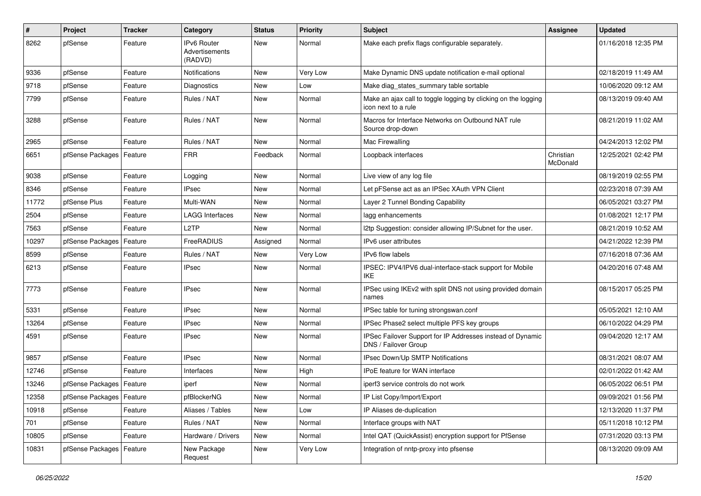| $\pmb{\#}$ | Project                    | <b>Tracker</b> | Category                                        | <b>Status</b> | <b>Priority</b> | <b>Subject</b>                                                                        | <b>Assignee</b>       | <b>Updated</b>      |
|------------|----------------------------|----------------|-------------------------------------------------|---------------|-----------------|---------------------------------------------------------------------------------------|-----------------------|---------------------|
| 8262       | pfSense                    | Feature        | <b>IPv6 Router</b><br>Advertisements<br>(RADVD) | <b>New</b>    | Normal          | Make each prefix flags configurable separately.                                       |                       | 01/16/2018 12:35 PM |
| 9336       | pfSense                    | Feature        | <b>Notifications</b>                            | <b>New</b>    | <b>Very Low</b> | Make Dynamic DNS update notification e-mail optional                                  |                       | 02/18/2019 11:49 AM |
| 9718       | pfSense                    | Feature        | Diagnostics                                     | New           | Low             | Make diag_states_summary table sortable                                               |                       | 10/06/2020 09:12 AM |
| 7799       | pfSense                    | Feature        | Rules / NAT                                     | New           | Normal          | Make an ajax call to toggle logging by clicking on the logging<br>icon next to a rule |                       | 08/13/2019 09:40 AM |
| 3288       | pfSense                    | Feature        | Rules / NAT                                     | <b>New</b>    | Normal          | Macros for Interface Networks on Outbound NAT rule<br>Source drop-down                |                       | 08/21/2019 11:02 AM |
| 2965       | pfSense                    | Feature        | Rules / NAT                                     | New           | Normal          | Mac Firewalling                                                                       |                       | 04/24/2013 12:02 PM |
| 6651       | pfSense Packages           | Feature        | <b>FRR</b>                                      | Feedback      | Normal          | Loopback interfaces                                                                   | Christian<br>McDonald | 12/25/2021 02:42 PM |
| 9038       | pfSense                    | Feature        | Logging                                         | New           | Normal          | Live view of any log file                                                             |                       | 08/19/2019 02:55 PM |
| 8346       | pfSense                    | Feature        | <b>IPsec</b>                                    | New           | Normal          | Let pFSense act as an IPSec XAuth VPN Client                                          |                       | 02/23/2018 07:39 AM |
| 11772      | pfSense Plus               | Feature        | Multi-WAN                                       | New           | Normal          | Layer 2 Tunnel Bonding Capability                                                     |                       | 06/05/2021 03:27 PM |
| 2504       | pfSense                    | Feature        | <b>LAGG Interfaces</b>                          | New           | Normal          | lagg enhancements                                                                     |                       | 01/08/2021 12:17 PM |
| 7563       | pfSense                    | Feature        | L <sub>2</sub> TP                               | New           | Normal          | I2tp Suggestion: consider allowing IP/Subnet for the user.                            |                       | 08/21/2019 10:52 AM |
| 10297      | pfSense Packages           | Feature        | FreeRADIUS                                      | Assigned      | Normal          | IPv6 user attributes                                                                  |                       | 04/21/2022 12:39 PM |
| 8599       | pfSense                    | Feature        | Rules / NAT                                     | New           | Very Low        | <b>IPv6</b> flow labels                                                               |                       | 07/16/2018 07:36 AM |
| 6213       | pfSense                    | Feature        | <b>IPsec</b>                                    | New           | Normal          | IPSEC: IPV4/IPV6 dual-interface-stack support for Mobile<br>IKE.                      |                       | 04/20/2016 07:48 AM |
| 7773       | pfSense                    | Feature        | <b>IPsec</b>                                    | New           | Normal          | IPSec using IKEv2 with split DNS not using provided domain<br>names                   |                       | 08/15/2017 05:25 PM |
| 5331       | pfSense                    | Feature        | <b>IPsec</b>                                    | New           | Normal          | IPSec table for tuning strongswan.conf                                                |                       | 05/05/2021 12:10 AM |
| 13264      | pfSense                    | Feature        | <b>IPsec</b>                                    | New           | Normal          | IPSec Phase2 select multiple PFS key groups                                           |                       | 06/10/2022 04:29 PM |
| 4591       | pfSense                    | Feature        | <b>IPsec</b>                                    | <b>New</b>    | Normal          | IPSec Failover Support for IP Addresses instead of Dynamic<br>DNS / Failover Group    |                       | 09/04/2020 12:17 AM |
| 9857       | pfSense                    | Feature        | <b>IPsec</b>                                    | <b>New</b>    | Normal          | IPsec Down/Up SMTP Notifications                                                      |                       | 08/31/2021 08:07 AM |
| 12746      | pfSense                    | Feature        | Interfaces                                      | New           | High            | IPoE feature for WAN interface                                                        |                       | 02/01/2022 01:42 AM |
| 13246      | pfSense Packages   Feature |                | iperf                                           | New           | Normal          | iperf3 service controls do not work                                                   |                       | 06/05/2022 06:51 PM |
| 12358      | pfSense Packages   Feature |                | pfBlockerNG                                     | New           | Normal          | IP List Copy/Import/Export                                                            |                       | 09/09/2021 01:56 PM |
| 10918      | pfSense                    | Feature        | Aliases / Tables                                | New           | Low             | IP Aliases de-duplication                                                             |                       | 12/13/2020 11:37 PM |
| 701        | pfSense                    | Feature        | Rules / NAT                                     | New           | Normal          | Interface groups with NAT                                                             |                       | 05/11/2018 10:12 PM |
| 10805      | pfSense                    | Feature        | Hardware / Drivers                              | New           | Normal          | Intel QAT (QuickAssist) encryption support for PfSense                                |                       | 07/31/2020 03:13 PM |
| 10831      | pfSense Packages           | Feature        | New Package<br>Request                          | New           | Very Low        | Integration of nntp-proxy into pfsense                                                |                       | 08/13/2020 09:09 AM |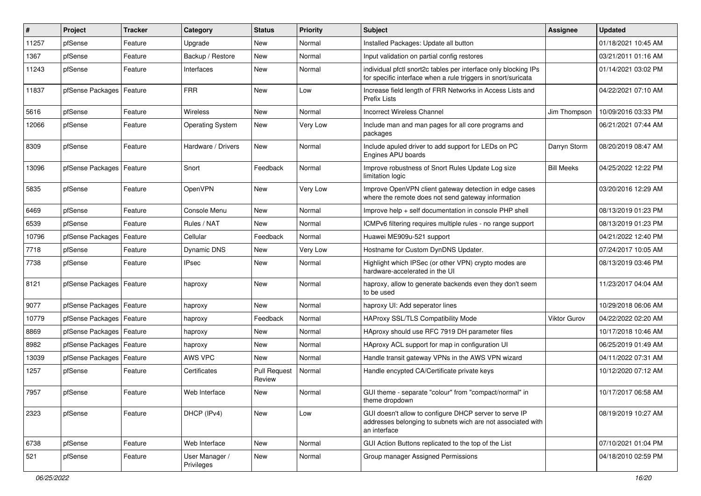| #     | Project          | <b>Tracker</b> | Category                     | <b>Status</b>                 | <b>Priority</b> | <b>Subject</b>                                                                                                                        | <b>Assignee</b>   | <b>Updated</b>      |
|-------|------------------|----------------|------------------------------|-------------------------------|-----------------|---------------------------------------------------------------------------------------------------------------------------------------|-------------------|---------------------|
| 11257 | pfSense          | Feature        | Upgrade                      | New                           | Normal          | Installed Packages: Update all button                                                                                                 |                   | 01/18/2021 10:45 AM |
| 1367  | pfSense          | Feature        | Backup / Restore             | New                           | Normal          | Input validation on partial config restores                                                                                           |                   | 03/21/2011 01:16 AM |
| 11243 | pfSense          | Feature        | Interfaces                   | New                           | Normal          | individual pfctl snort2c tables per interface only blocking IPs<br>for specific interface when a rule triggers in snort/suricata      |                   | 01/14/2021 03:02 PM |
| 11837 | pfSense Packages | Feature        | <b>FRR</b>                   | <b>New</b>                    | Low             | Increase field length of FRR Networks in Access Lists and<br>Prefix Lists                                                             |                   | 04/22/2021 07:10 AM |
| 5616  | pfSense          | Feature        | Wireless                     | <b>New</b>                    | Normal          | <b>Incorrect Wireless Channel</b>                                                                                                     | Jim Thompson      | 10/09/2016 03:33 PM |
| 12066 | pfSense          | Feature        | <b>Operating System</b>      | <b>New</b>                    | Very Low        | Include man and man pages for all core programs and<br>packages                                                                       |                   | 06/21/2021 07:44 AM |
| 8309  | pfSense          | Feature        | Hardware / Drivers           | <b>New</b>                    | Normal          | Include apuled driver to add support for LEDs on PC<br>Engines APU boards                                                             | Darryn Storm      | 08/20/2019 08:47 AM |
| 13096 | pfSense Packages | Feature        | Snort                        | Feedback                      | Normal          | Improve robustness of Snort Rules Update Log size<br>limitation logic                                                                 | <b>Bill Meeks</b> | 04/25/2022 12:22 PM |
| 5835  | pfSense          | Feature        | OpenVPN                      | New                           | Very Low        | Improve OpenVPN client gateway detection in edge cases<br>where the remote does not send gateway information                          |                   | 03/20/2016 12:29 AM |
| 6469  | pfSense          | Feature        | Console Menu                 | <b>New</b>                    | Normal          | Improve help + self documentation in console PHP shell                                                                                |                   | 08/13/2019 01:23 PM |
| 6539  | pfSense          | Feature        | Rules / NAT                  | New                           | Normal          | ICMPv6 filtering requires multiple rules - no range support                                                                           |                   | 08/13/2019 01:23 PM |
| 10796 | pfSense Packages | Feature        | Cellular                     | Feedback                      | Normal          | Huawei ME909u-521 support                                                                                                             |                   | 04/21/2022 12:40 PM |
| 7718  | pfSense          | Feature        | Dynamic DNS                  | <b>New</b>                    | Very Low        | Hostname for Custom DynDNS Updater.                                                                                                   |                   | 07/24/2017 10:05 AM |
| 7738  | pfSense          | Feature        | <b>IPsec</b>                 | New                           | Normal          | Highlight which IPSec (or other VPN) crypto modes are<br>hardware-accelerated in the UI                                               |                   | 08/13/2019 03:46 PM |
| 8121  | pfSense Packages | Feature        | haproxy                      | <b>New</b>                    | Normal          | haproxy, allow to generate backends even they don't seem<br>to be used                                                                |                   | 11/23/2017 04:04 AM |
| 9077  | pfSense Packages | Feature        | haproxy                      | <b>New</b>                    | Normal          | haproxy UI: Add seperator lines                                                                                                       |                   | 10/29/2018 06:06 AM |
| 10779 | pfSense Packages | Feature        | haproxy                      | Feedback                      | Normal          | HAProxy SSL/TLS Compatibility Mode                                                                                                    | Viktor Gurov      | 04/22/2022 02:20 AM |
| 8869  | pfSense Packages | Feature        | haproxy                      | New                           | Normal          | HAproxy should use RFC 7919 DH parameter files                                                                                        |                   | 10/17/2018 10:46 AM |
| 8982  | pfSense Packages | Feature        | haproxy                      | <b>New</b>                    | Normal          | HAproxy ACL support for map in configuration UI                                                                                       |                   | 06/25/2019 01:49 AM |
| 13039 | pfSense Packages | Feature        | AWS VPC                      | New                           | Normal          | Handle transit gateway VPNs in the AWS VPN wizard                                                                                     |                   | 04/11/2022 07:31 AM |
| 1257  | pfSense          | Feature        | Certificates                 | <b>Pull Request</b><br>Review | Normal          | Handle encypted CA/Certificate private keys                                                                                           |                   | 10/12/2020 07:12 AM |
| 7957  | pfSense          | Feature        | Web Interface                | New                           | Normal          | GUI theme - separate "colour" from "compact/normal" in<br>theme dropdown                                                              |                   | 10/17/2017 06:58 AM |
| 2323  | pfSense          | Feature        | DHCP (IPv4)                  | New                           | Low             | GUI doesn't allow to configure DHCP server to serve IP<br>addresses belonging to subnets wich are not associated with<br>an interface |                   | 08/19/2019 10:27 AM |
| 6738  | pfSense          | Feature        | Web Interface                | New                           | Normal          | GUI Action Buttons replicated to the top of the List                                                                                  |                   | 07/10/2021 01:04 PM |
| 521   | pfSense          | Feature        | User Manager /<br>Privileges | New                           | Normal          | Group manager Assigned Permissions                                                                                                    |                   | 04/18/2010 02:59 PM |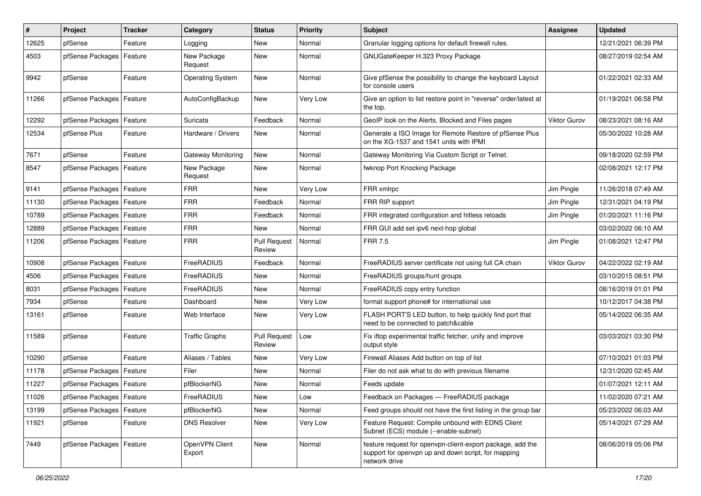| $\sharp$ | Project                    | <b>Tracker</b> | Category                  | <b>Status</b>                 | Priority        | Subject                                                                                                                            | Assignee            | <b>Updated</b>      |
|----------|----------------------------|----------------|---------------------------|-------------------------------|-----------------|------------------------------------------------------------------------------------------------------------------------------------|---------------------|---------------------|
| 12625    | pfSense                    | Feature        | Logging                   | <b>New</b>                    | Normal          | Granular logging options for default firewall rules.                                                                               |                     | 12/21/2021 06:39 PM |
| 4503     | pfSense Packages   Feature |                | New Package<br>Request    | <b>New</b>                    | Normal          | GNUGateKeeper H.323 Proxy Package                                                                                                  |                     | 08/27/2019 02:54 AM |
| 9942     | pfSense                    | Feature        | <b>Operating System</b>   | <b>New</b>                    | Normal          | Give pfSense the possibility to change the keyboard Layout<br>for console users                                                    |                     | 01/22/2021 02:33 AM |
| 11266    | pfSense Packages   Feature |                | AutoConfigBackup          | New                           | Very Low        | Give an option to list restore point in "reverse" order/latest at<br>the top.                                                      |                     | 01/19/2021 06:58 PM |
| 12292    | pfSense Packages           | Feature        | Suricata                  | Feedback                      | Normal          | GeoIP look on the Alerts, Blocked and Files pages                                                                                  | Viktor Gurov        | 08/23/2021 08:16 AM |
| 12534    | pfSense Plus               | Feature        | Hardware / Drivers        | New                           | Normal          | Generate a ISO Image for Remote Restore of pfSense Plus<br>on the XG-1537 and 1541 units with IPMI                                 |                     | 05/30/2022 10:28 AM |
| 7671     | pfSense                    | Feature        | <b>Gateway Monitoring</b> | <b>New</b>                    | Normal          | Gateway Monitoring Via Custom Script or Telnet.                                                                                    |                     | 09/18/2020 02:59 PM |
| 8547     | pfSense Packages   Feature |                | New Package<br>Request    | <b>New</b>                    | Normal          | fwknop Port Knocking Package                                                                                                       |                     | 02/08/2021 12:17 PM |
| 9141     | pfSense Packages           | l Feature      | <b>FRR</b>                | New                           | <b>Very Low</b> | FRR xmlrpc                                                                                                                         | Jim Pingle          | 11/26/2018 07:49 AM |
| 11130    | pfSense Packages   Feature |                | <b>FRR</b>                | Feedback                      | Normal          | FRR RIP support                                                                                                                    | Jim Pingle          | 12/31/2021 04:19 PM |
| 10789    | pfSense Packages   Feature |                | <b>FRR</b>                | Feedback                      | Normal          | FRR integrated configuration and hitless reloads                                                                                   | Jim Pingle          | 01/20/2021 11:16 PM |
| 12889    | pfSense Packages   Feature |                | <b>FRR</b>                | New                           | Normal          | FRR GUI add set ipv6 next-hop global                                                                                               |                     | 03/02/2022 06:10 AM |
| 11206    | pfSense Packages   Feature |                | <b>FRR</b>                | <b>Pull Request</b><br>Review | Normal          | <b>FRR 7.5</b>                                                                                                                     | Jim Pingle          | 01/08/2021 12:47 PM |
| 10908    | pfSense Packages           | Feature        | FreeRADIUS                | Feedback                      | Normal          | FreeRADIUS server certificate not using full CA chain                                                                              | <b>Viktor Gurov</b> | 04/22/2022 02:19 AM |
| 4506     | pfSense Packages   Feature |                | FreeRADIUS                | <b>New</b>                    | Normal          | FreeRADIUS groups/hunt groups                                                                                                      |                     | 03/10/2015 08:51 PM |
| 8031     | pfSense Packages   Feature |                | FreeRADIUS                | <b>New</b>                    | Normal          | FreeRADIUS copy entry function                                                                                                     |                     | 08/16/2019 01:01 PM |
| 7934     | pfSense                    | Feature        | Dashboard                 | <b>New</b>                    | <b>Very Low</b> | format support phone# for international use                                                                                        |                     | 10/12/2017 04:38 PM |
| 13161    | pfSense                    | Feature        | Web Interface             | <b>New</b>                    | <b>Very Low</b> | FLASH PORT'S LED button, to help quickly find port that<br>need to be connected to patch&cable                                     |                     | 05/14/2022 06:35 AM |
| 11589    | pfSense                    | Feature        | <b>Traffic Graphs</b>     | <b>Pull Request</b><br>Review | Low             | Fix iftop experimental traffic fetcher, unify and improve<br>output style                                                          |                     | 03/03/2021 03:30 PM |
| 10290    | pfSense                    | Feature        | Aliases / Tables          | New                           | Very Low        | Firewall Aliases Add button on top of list                                                                                         |                     | 07/10/2021 01:03 PM |
| 11178    | pfSense Packages   Feature |                | Filer                     | <b>New</b>                    | Normal          | Filer do not ask what to do with previous filename                                                                                 |                     | 12/31/2020 02:45 AM |
| 11227    | pfSense Packages   Feature |                | pfBlockerNG               | New                           | Normal          | Feeds update                                                                                                                       |                     | 01/07/2021 12:11 AM |
| 11026    | pfSense Packages   Feature |                | FreeRADIUS                | New                           | Low             | Feedback on Packages - FreeRADIUS package                                                                                          |                     | 11/02/2020 07:21 AM |
| 13199    | pfSense Packages           | Feature        | pfBlockerNG               | New                           | Normal          | Feed groups should not have the first listing in the group bar                                                                     |                     | 05/23/2022 06:03 AM |
| 11921    | pfSense                    | Feature        | <b>DNS Resolver</b>       | New                           | Very Low        | Feature Request: Compile unbound with EDNS Client<br>Subnet (ECS) module (--enable-subnet)                                         |                     | 05/14/2021 07:29 AM |
| 7449     | pfSense Packages   Feature |                | OpenVPN Client<br>Export  | New                           | Normal          | feature request for openvpn-client-export package, add the<br>support for openvpn up and down script, for mapping<br>network drive |                     | 08/06/2019 05:06 PM |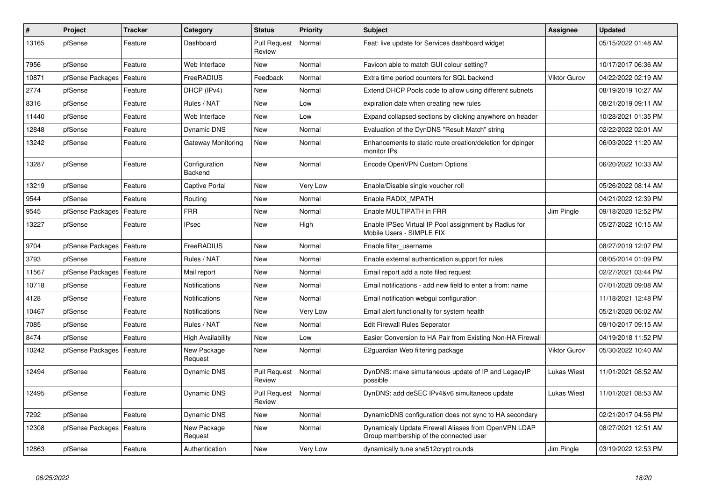| #     | Project          | <b>Tracker</b> | Category                 | <b>Status</b>                 | <b>Priority</b> | <b>Subject</b>                                                                                 | Assignee            | <b>Updated</b>      |
|-------|------------------|----------------|--------------------------|-------------------------------|-----------------|------------------------------------------------------------------------------------------------|---------------------|---------------------|
| 13165 | pfSense          | Feature        | Dashboard                | <b>Pull Request</b><br>Review | Normal          | Feat: live update for Services dashboard widget                                                |                     | 05/15/2022 01:48 AM |
| 7956  | pfSense          | Feature        | Web Interface            | New                           | Normal          | Favicon able to match GUI colour setting?                                                      |                     | 10/17/2017 06:36 AM |
| 10871 | pfSense Packages | Feature        | FreeRADIUS               | Feedback                      | Normal          | Extra time period counters for SQL backend                                                     | <b>Viktor Gurov</b> | 04/22/2022 02:19 AM |
| 2774  | pfSense          | Feature        | DHCP (IPv4)              | New                           | Normal          | Extend DHCP Pools code to allow using different subnets                                        |                     | 08/19/2019 10:27 AM |
| 8316  | pfSense          | Feature        | Rules / NAT              | <b>New</b>                    | Low             | expiration date when creating new rules                                                        |                     | 08/21/2019 09:11 AM |
| 11440 | pfSense          | Feature        | Web Interface            | New                           | Low             | Expand collapsed sections by clicking anywhere on header                                       |                     | 10/28/2021 01:35 PM |
| 12848 | pfSense          | Feature        | Dynamic DNS              | <b>New</b>                    | Normal          | Evaluation of the DynDNS "Result Match" string                                                 |                     | 02/22/2022 02:01 AM |
| 13242 | pfSense          | Feature        | Gateway Monitoring       | <b>New</b>                    | Normal          | Enhancements to static route creation/deletion for dpinger<br>monitor IPs                      |                     | 06/03/2022 11:20 AM |
| 13287 | pfSense          | Feature        | Configuration<br>Backend | <b>New</b>                    | Normal          | Encode OpenVPN Custom Options                                                                  |                     | 06/20/2022 10:33 AM |
| 13219 | pfSense          | Feature        | Captive Portal           | New                           | Very Low        | Enable/Disable single voucher roll                                                             |                     | 05/26/2022 08:14 AM |
| 9544  | pfSense          | Feature        | Routing                  | New                           | Normal          | Enable RADIX MPATH                                                                             |                     | 04/21/2022 12:39 PM |
| 9545  | pfSense Packages | Feature        | <b>FRR</b>               | New                           | Normal          | Enable MULTIPATH in FRR                                                                        | Jim Pingle          | 09/18/2020 12:52 PM |
| 13227 | pfSense          | Feature        | IPsec                    | New                           | High            | Enable IPSec Virtual IP Pool assignment by Radius for<br>Mobile Users - SIMPLE FIX             |                     | 05/27/2022 10:15 AM |
| 9704  | pfSense Packages | Feature        | FreeRADIUS               | <b>New</b>                    | Normal          | Enable filter_username                                                                         |                     | 08/27/2019 12:07 PM |
| 3793  | pfSense          | Feature        | Rules / NAT              | New                           | Normal          | Enable external authentication support for rules                                               |                     | 08/05/2014 01:09 PM |
| 11567 | pfSense Packages | Feature        | Mail report              | New                           | Normal          | Email report add a note filed request                                                          |                     | 02/27/2021 03:44 PM |
| 10718 | pfSense          | Feature        | Notifications            | New                           | Normal          | Email notifications - add new field to enter a from: name                                      |                     | 07/01/2020 09:08 AM |
| 4128  | pfSense          | Feature        | Notifications            | New                           | Normal          | Email notification webgui configuration                                                        |                     | 11/18/2021 12:48 PM |
| 10467 | pfSense          | Feature        | Notifications            | New                           | Very Low        | Email alert functionality for system health                                                    |                     | 05/21/2020 06:02 AM |
| 7085  | pfSense          | Feature        | Rules / NAT              | New                           | Normal          | <b>Edit Firewall Rules Seperator</b>                                                           |                     | 09/10/2017 09:15 AM |
| 8474  | pfSense          | Feature        | High Availability        | New                           | Low             | Easier Conversion to HA Pair from Existing Non-HA Firewall                                     |                     | 04/19/2018 11:52 PM |
| 10242 | pfSense Packages | Feature        | New Package<br>Request   | New                           | Normal          | E2guardian Web filtering package                                                               | <b>Viktor Gurov</b> | 05/30/2022 10:40 AM |
| 12494 | pfSense          | Feature        | Dynamic DNS              | <b>Pull Request</b><br>Review | Normal          | DynDNS: make simultaneous update of IP and LegacyIP<br>possible                                | <b>Lukas Wiest</b>  | 11/01/2021 08:52 AM |
| 12495 | pfSense          | Feature        | <b>Dynamic DNS</b>       | <b>Pull Request</b><br>Review | Normal          | DynDNS: add deSEC IPv4&v6 simultaneos update                                                   | <b>Lukas Wiest</b>  | 11/01/2021 08:53 AM |
| 7292  | pfSense          | Feature        | Dynamic DNS              | <b>New</b>                    | Normal          | DynamicDNS configuration does not sync to HA secondary                                         |                     | 02/21/2017 04:56 PM |
| 12308 | pfSense Packages | Feature        | New Package<br>Request   | New                           | Normal          | Dynamicaly Update Firewall Aliases from OpenVPN LDAP<br>Group membership of the connected user |                     | 08/27/2021 12:51 AM |
| 12863 | pfSense          | Feature        | Authentication           | New                           | Very Low        | dynamically tune sha512crypt rounds                                                            | Jim Pingle          | 03/19/2022 12:53 PM |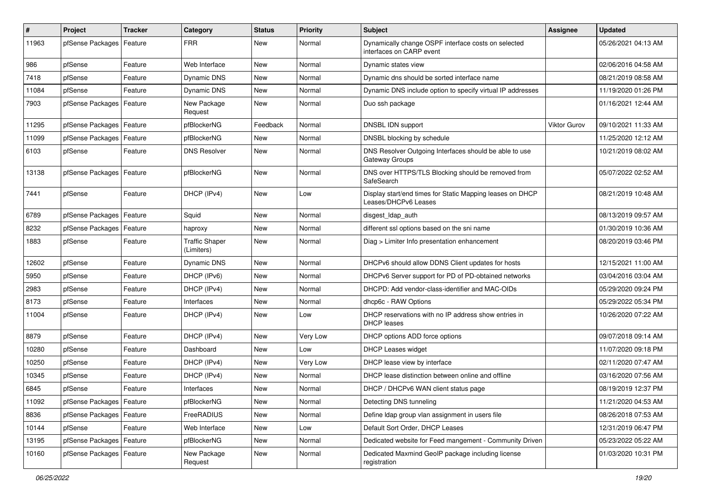| $\sharp$ | Project                    | <b>Tracker</b> | Category                            | <b>Status</b> | <b>Priority</b> | <b>Subject</b>                                                                    | Assignee            | <b>Updated</b>      |
|----------|----------------------------|----------------|-------------------------------------|---------------|-----------------|-----------------------------------------------------------------------------------|---------------------|---------------------|
| 11963    | pfSense Packages           | Feature        | <b>FRR</b>                          | New           | Normal          | Dynamically change OSPF interface costs on selected<br>interfaces on CARP event   |                     | 05/26/2021 04:13 AM |
| 986      | pfSense                    | Feature        | Web Interface                       | New           | Normal          | Dynamic states view                                                               |                     | 02/06/2016 04:58 AM |
| 7418     | pfSense                    | Feature        | Dynamic DNS                         | <b>New</b>    | Normal          | Dynamic dns should be sorted interface name                                       |                     | 08/21/2019 08:58 AM |
| 11084    | pfSense                    | Feature        | Dynamic DNS                         | <b>New</b>    | Normal          | Dynamic DNS include option to specify virtual IP addresses                        |                     | 11/19/2020 01:26 PM |
| 7903     | pfSense Packages   Feature |                | New Package<br>Request              | New           | Normal          | Duo ssh package                                                                   |                     | 01/16/2021 12:44 AM |
| 11295    | pfSense Packages           | Feature        | pfBlockerNG                         | Feedback      | Normal          | DNSBL IDN support                                                                 | <b>Viktor Gurov</b> | 09/10/2021 11:33 AM |
| 11099    | pfSense Packages   Feature |                | pfBlockerNG                         | <b>New</b>    | Normal          | DNSBL blocking by schedule                                                        |                     | 11/25/2020 12:12 AM |
| 6103     | pfSense                    | Feature        | <b>DNS Resolver</b>                 | <b>New</b>    | Normal          | DNS Resolver Outgoing Interfaces should be able to use<br>Gateway Groups          |                     | 10/21/2019 08:02 AM |
| 13138    | pfSense Packages   Feature |                | pfBlockerNG                         | <b>New</b>    | Normal          | DNS over HTTPS/TLS Blocking should be removed from<br>SafeSearch                  |                     | 05/07/2022 02:52 AM |
| 7441     | pfSense                    | Feature        | DHCP (IPv4)                         | <b>New</b>    | Low             | Display start/end times for Static Mapping leases on DHCP<br>Leases/DHCPv6 Leases |                     | 08/21/2019 10:48 AM |
| 6789     | pfSense Packages   Feature |                | Squid                               | <b>New</b>    | Normal          | disgest_ldap_auth                                                                 |                     | 08/13/2019 09:57 AM |
| 8232     | pfSense Packages   Feature |                | haproxy                             | New           | Normal          | different ssl options based on the sni name                                       |                     | 01/30/2019 10:36 AM |
| 1883     | pfSense                    | Feature        | <b>Traffic Shaper</b><br>(Limiters) | New           | Normal          | Diag > Limiter Info presentation enhancement                                      |                     | 08/20/2019 03:46 PM |
| 12602    | pfSense                    | Feature        | Dynamic DNS                         | New           | Normal          | DHCPv6 should allow DDNS Client updates for hosts                                 |                     | 12/15/2021 11:00 AM |
| 5950     | pfSense                    | Feature        | DHCP (IPv6)                         | <b>New</b>    | Normal          | DHCPv6 Server support for PD of PD-obtained networks                              |                     | 03/04/2016 03:04 AM |
| 2983     | pfSense                    | Feature        | DHCP (IPv4)                         | New           | Normal          | DHCPD: Add vendor-class-identifier and MAC-OIDs                                   |                     | 05/29/2020 09:24 PM |
| 8173     | pfSense                    | Feature        | Interfaces                          | New           | Normal          | dhcp6c - RAW Options                                                              |                     | 05/29/2022 05:34 PM |
| 11004    | pfSense                    | Feature        | DHCP (IPv4)                         | <b>New</b>    | Low             | DHCP reservations with no IP address show entries in<br><b>DHCP</b> leases        |                     | 10/26/2020 07:22 AM |
| 8879     | pfSense                    | Feature        | DHCP (IPv4)                         | <b>New</b>    | <b>Very Low</b> | DHCP options ADD force options                                                    |                     | 09/07/2018 09:14 AM |
| 10280    | pfSense                    | Feature        | Dashboard                           | New           | Low             | <b>DHCP Leases widget</b>                                                         |                     | 11/07/2020 09:18 PM |
| 10250    | pfSense                    | Feature        | DHCP (IPv4)                         | New           | <b>Very Low</b> | DHCP lease view by interface                                                      |                     | 02/11/2020 07:47 AM |
| 10345    | pfSense                    | Feature        | DHCP (IPv4)                         | New           | Normal          | DHCP lease distinction between online and offline                                 |                     | 03/16/2020 07:56 AM |
| 6845     | pfSense                    | Feature        | Interfaces                          | New           | Normal          | DHCP / DHCPv6 WAN client status page                                              |                     | 08/19/2019 12:37 PM |
| 11092    | pfSense Packages   Feature |                | pfBlockerNG                         | New           | Normal          | Detecting DNS tunneling                                                           |                     | 11/21/2020 04:53 AM |
| 8836     | pfSense Packages           | Feature        | FreeRADIUS                          | New           | Normal          | Define Idap group vlan assignment in users file                                   |                     | 08/26/2018 07:53 AM |
| 10144    | pfSense                    | Feature        | Web Interface                       | New           | Low             | Default Sort Order, DHCP Leases                                                   |                     | 12/31/2019 06:47 PM |
| 13195    | pfSense Packages   Feature |                | pfBlockerNG                         | New           | Normal          | Dedicated website for Feed mangement - Community Driven                           |                     | 05/23/2022 05:22 AM |
| 10160    | pfSense Packages   Feature |                | New Package<br>Request              | New           | Normal          | Dedicated Maxmind GeoIP package including license<br>registration                 |                     | 01/03/2020 10:31 PM |